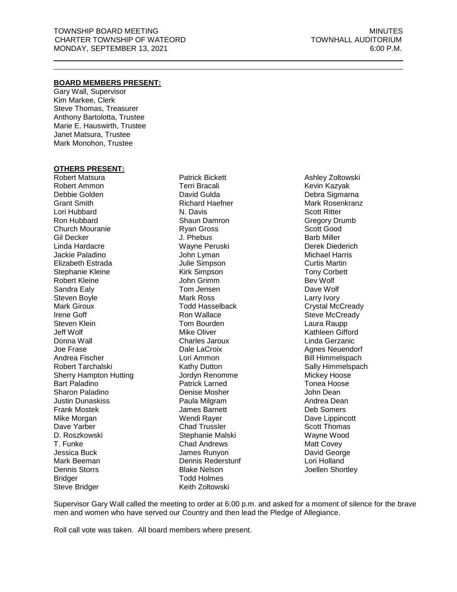# **BOARD MEMBERS PRESENT:**

Gary Wall, Supervisor Kim Markee, Clerk Steve Thomas, Treasurer Anthony Bartolotta, Trustee Marie E. Hauswirth, Trustee Janet Matsura, Trustee Mark Monohon, Trustee

#### **OTHERS PRESENT:**

Robert Matsura Robert Ammon Debbie Golden Grant Smith Lori Hubbard Ron Hubbard Church Mouranie Gil Decker Linda Hardacre Jackie Paladino Elizabeth Estrada Stephanie Kleine Robert Kleine Sandra Ealy Steven Boyle Mark Giroux Irene Goff Steven Klein Jeff Wolf Donna Wall Joe Frase Andrea Fischer Robert Tarchalski Sherry Hampton Hutting Bart Paladino Sharon Paladino Justin Dunaskiss Frank Mostek Mike Morgan Dave Yarber D. Roszkowski T. Funke Jessica Buck Mark Beeman Dennis Storrs **Bridger** Steve Bridger

Patrick Bickett Terri Bracali David Gulda Richard Haefner N. Davis Shaun Damron Ryan Gross J. Phebus Wayne Peruski John Lyman Julie Simpson Kirk Simpson John Grimm Tom Jensen Mark Ross Todd Hasselback Ron Wallace Tom Bourden Mike Oliver Charles Jaroux Dale LaCroix Lori Ammon Kathy Dutton Jordyn Renomme Patrick Larned Denise Mosher Paula Milgram James Barnett Wendi Rayer Chad Trussler Stephanie Malski Chad Andrews James Runyon Dennis Rederstunf Blake Nelson Todd Holmes Keith Zoltowski

Ashley Zoltowski Kevin Kazyak Debra Sigmarna Mark Rosenkranz Scott Ritter Gregory Drumb Scott Good Barb Miller Derek Diederich Michael Harris Curtis Martin Tony Corbett Bev Wolf Dave Wolf Larry Ivory Crystal McCready Steve McCready Laura Raupp Kathleen Gifford Linda Gerzanic Agnes Neuendorf Bill Himmelspach Sally Himmelspach Mickey Hoose Tonea Hoose John Dean Andrea Dean Deb Somers Dave Lippincott Scott Thomas Wayne Wood Matt Covey David George Lori Holland Joellen Shortley

Supervisor Gary Wall called the meeting to order at 6:00 p.m. and asked for a moment of silence for the brave men and women who have served our Country and then lead the Pledge of Allegiance.

Roll call vote was taken. All board members where present.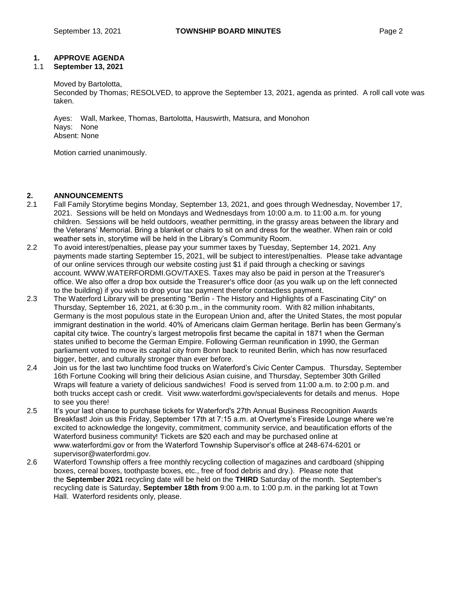# **1. APPROVE AGENDA**

# 1.1 **September 13, 2021**

# Moved by Bartolotta,

Seconded by Thomas; RESOLVED, to approve the September 13, 2021, agenda as printed. A roll call vote was taken.

Ayes: Wall, Markee, Thomas, Bartolotta, Hauswirth, Matsura, and Monohon Nays: None Absent: None

Motion carried unanimously.

# **2. ANNOUNCEMENTS**

- 2.1 Fall Family Storytime begins Monday, September 13, 2021, and goes through Wednesday, November 17, 2021. Sessions will be held on Mondays and Wednesdays from 10:00 a.m. to 11:00 a.m. for young children. Sessions will be held outdoors, weather permitting, in the grassy areas between the library and the Veterans' Memorial. Bring a blanket or chairs to sit on and dress for the weather. When rain or cold weather sets in, storytime will be held in the Library's Community Room.
- 2.2 To avoid interest/penalties, please pay your summer taxes by Tuesday, September 14, 2021. Any payments made starting September 15, 2021, will be subject to interest/penalties. Please take advantage of our online services through our website costing just \$1 if paid through a checking or savings account. [WWW.WATERFORDMI.GOV/TAXES.](https://www.waterfordmi.gov/taxes) Taxes may also be paid in person at the Treasurer's office. We also offer a drop box outside the Treasurer's office door (as you walk up on the left connected to the building) if you wish to drop your tax payment therefor contactless payment.
- 2.3 The Waterford Library will be presenting "Berlin The History and Highlights of a Fascinating City" on Thursday, September 16, 2021, at 6:30 p.m., in the community room. With 82 million inhabitants, Germany is the most populous state in the European Union and, after the United States, the most popular immigrant destination in the world. 40% of Americans claim German heritage. Berlin has been Germany's capital city twice. The country's largest metropolis first became the capital in 1871 when the German states unified to become the German Empire. Following German reunification in 1990, the German parliament voted to move its capital city from Bonn back to reunited Berlin, which has now resurfaced bigger, better, and culturally stronger than ever before.
- 2.4 Join us for the last two lunchtime food trucks on Waterford's Civic Center Campus. Thursday, September 16th Fortune Cooking will bring their delicious Asian cuisine, and Thursday, September 30th Grilled Wraps will feature a variety of delicious sandwiches! Food is served from 11:00 a.m. to 2:00 p.m. and both trucks accept cash or credit. Visit www.waterfordmi.gov/specialevents for details and menus. Hope to see you there!
- 2.5 It's your last chance to purchase tickets for Waterford's 27th Annual Business Recognition Awards Breakfast! Join us this Friday, September 17th at 7:15 a.m. at Overtyme's Fireside Lounge where we're excited to acknowledge the longevity, commitment, community service, and beautification efforts of the Waterford business community! Tickets are \$20 each and may be purchased online at www.waterfordmi.gov or from the Waterford Township Supervisor's office at 248-674-6201 or [supervisor@waterfordmi.gov.](mailto:supervisor@waterfordmi.gov)
- 2.6 Waterford Township offers a free monthly recycling collection of magazines and cardboard (shipping boxes, cereal boxes, toothpaste boxes, etc., free of food debris and dry.). Please note that the **September 2021** recycling date will be held on the **THIRD** Saturday of the month. September's recycling date is Saturday, **September 18th from** 9:00 a.m. to 1:00 p.m. in the parking lot at Town Hall. Waterford residents only, please.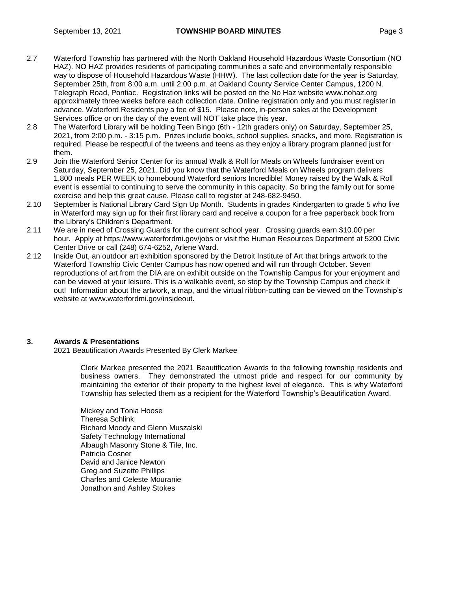- 2.7 Waterford Township has partnered with the North Oakland Household Hazardous Waste Consortium (NO HAZ). NO HAZ provides residents of participating communities a safe and environmentally responsible way to dispose of Household Hazardous Waste (HHW). The last collection date for the year is Saturday, September 25th, from 8:00 a.m. until 2:00 p.m. at Oakland County Service Center Campus, 1200 N. Telegraph Road, Pontiac. Registration links will be posted on the No Haz website www.nohaz.org approximately three weeks before each collection date. Online registration only and you must register in advance. Waterford Residents pay a fee of \$15. Please note, in-person sales at the Development Services office or on the day of the event will NOT take place this year.
- 2.8 The Waterford Library will be holding Teen Bingo (6th 12th graders only) on Saturday, September 25, 2021, from 2:00 p.m. - 3:15 p.m. Prizes include books, school supplies, snacks, and more. Registration is required. Please be respectful of the tweens and teens as they enjoy a library program planned just for them.
- 2.9 Join the Waterford Senior Center for its annual Walk & Roll for Meals on Wheels fundraiser event on Saturday, September 25, 2021. Did you know that the Waterford Meals on Wheels program delivers 1,800 meals PER WEEK to homebound Waterford seniors Incredible! Money raised by the Walk & Roll event is essential to continuing to serve the community in this capacity. So bring the family out for some exercise and help this great cause. Please call to register at 248-682-9450.
- 2.10 September is National Library Card Sign Up Month. Students in grades Kindergarten to grade 5 who live in Waterford may sign up for their first library card and receive a coupon for a free paperback book from the Library's Children's Department.
- 2.11 We are in need of Crossing Guards for the current school year. Crossing guards earn \$10.00 per hour. Apply at https://www.waterfordmi.gov/jobs or visit the Human Resources Department at 5200 Civic Center Drive or call (248) 674-6252, Arlene Ward.
- 2.12 Inside Out, an outdoor art exhibition sponsored by the Detroit Institute of Art that brings artwork to the Waterford Township Civic Center Campus has now opened and will run through October. Seven reproductions of art from the DIA are on exhibit outside on the Township Campus for your enjoyment and can be viewed at your leisure. This is a walkable event, so stop by the Township Campus and check it out! Information about the artwork, a map, and the virtual ribbon-cutting can be viewed on the Township's website at www.waterfordmi.gov/insideout.

# **3. Awards & Presentations**

2021 Beautification Awards Presented By Clerk Markee

Clerk Markee presented the 2021 Beautification Awards to the following township residents and business owners. They demonstrated the utmost pride and respect for our community by maintaining the exterior of their property to the highest level of elegance. This is why Waterford Township has selected them as a recipient for the Waterford Township's Beautification Award.

Mickey and Tonia Hoose Theresa Schlink Richard Moody and Glenn Muszalski Safety Technology International Albaugh Masonry Stone & Tile, Inc. Patricia Cosner David and Janice Newton Greg and Suzette Phillips Charles and Celeste Mouranie Jonathon and Ashley Stokes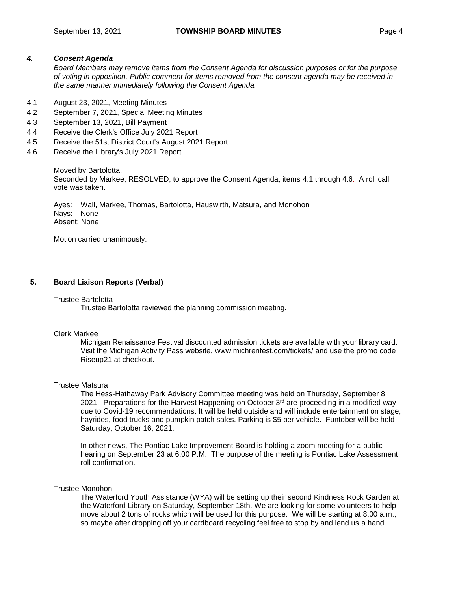# *4. Consent Agenda*

*Board Members may remove items from the Consent Agenda for discussion purposes or for the purpose of voting in opposition. Public comment for items removed from the consent agenda may be received in the same manner immediately following the Consent Agenda.*

- 4.1 August 23, 2021, Meeting Minutes
- 4.2 September 7, 2021, Special Meeting Minutes
- 4.3 September 13, 2021, Bill Payment
- 4.4 Receive the Clerk's Office July 2021 Report
- 4.5 Receive the 51st District Court's August 2021 Report
- 4.6 Receive the Library's July 2021 Report

Moved by Bartolotta, Seconded by Markee, RESOLVED, to approve the Consent Agenda, items 4.1 through 4.6. A roll call vote was taken.

Ayes: Wall, Markee, Thomas, Bartolotta, Hauswirth, Matsura, and Monohon Nays: None Absent: None

Motion carried unanimously.

# **5. Board Liaison Reports (Verbal)**

#### Trustee Bartolotta

Trustee Bartolotta reviewed the planning commission meeting.

#### Clerk Markee

Michigan Renaissance Festival discounted admission tickets are available with your library card. Visit the Michigan Activity Pass website, [www.michrenfest.com/tickets/](http://www.michrenfest.com/tickets/) and use the promo code Riseup21 at checkout.

#### Trustee Matsura

The Hess-Hathaway Park Advisory Committee meeting was held on Thursday, September 8, 2021. Preparations for the Harvest Happening on October  $3<sup>rd</sup>$  are proceeding in a modified way due to Covid-19 recommendations. It will be held outside and will include entertainment on stage, hayrides, food trucks and pumpkin patch sales. Parking is \$5 per vehicle. Funtober will be held Saturday, October 16, 2021.

In other news, The Pontiac Lake Improvement Board is holding a zoom meeting for a public hearing on September 23 at 6:00 P.M. The purpose of the meeting is Pontiac Lake Assessment roll confirmation.

#### Trustee Monohon

The Waterford Youth Assistance (WYA) will be setting up their second Kindness Rock Garden at the Waterford Library on Saturday, September 18th. We are looking for some volunteers to help move about 2 tons of rocks which will be used for this purpose. We will be starting at 8:00 a.m., so maybe after dropping off your cardboard recycling feel free to stop by and lend us a hand.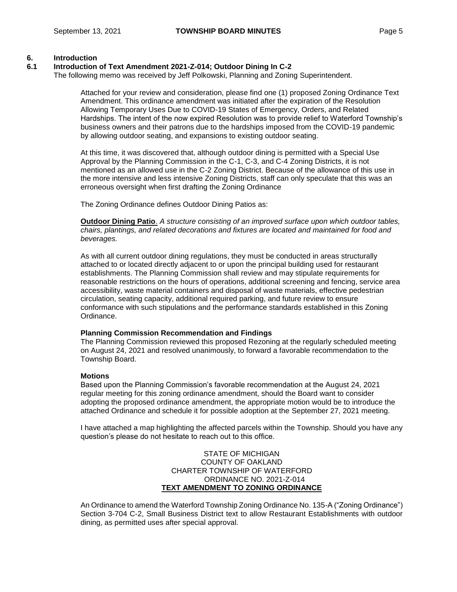# **6. Introduction**

## **6.1 Introduction of Text Amendment 2021-Z-014; Outdoor Dining In C-2**

The following memo was received by Jeff Polkowski, Planning and Zoning Superintendent.

Attached for your review and consideration, please find one (1) proposed Zoning Ordinance Text Amendment. This ordinance amendment was initiated after the expiration of the Resolution Allowing Temporary Uses Due to COVID-19 States of Emergency, Orders, and Related Hardships. The intent of the now expired Resolution was to provide relief to Waterford Township's business owners and their patrons due to the hardships imposed from the COVID-19 pandemic by allowing outdoor seating, and expansions to existing outdoor seating.

At this time, it was discovered that, although outdoor dining is permitted with a Special Use Approval by the Planning Commission in the C-1, C-3, and C-4 Zoning Districts, it is not mentioned as an allowed use in the C-2 Zoning District. Because of the allowance of this use in the more intensive and less intensive Zoning Districts, staff can only speculate that this was an erroneous oversight when first drafting the Zoning Ordinance

The Zoning Ordinance defines Outdoor Dining Patios as:

**Outdoor Dining Patio**. *A structure consisting of an improved surface upon which outdoor tables, chairs, plantings, and related decorations and fixtures are located and maintained for food and beverages.*

As with all current outdoor dining regulations, they must be conducted in areas structurally attached to or located directly adjacent to or upon the principal building used for restaurant establishments. The Planning Commission shall review and may stipulate requirements for reasonable restrictions on the hours of operations, additional screening and fencing, service area accessibility, waste material containers and disposal of waste materials, effective pedestrian circulation, seating capacity, additional required parking, and future review to ensure conformance with such stipulations and the performance standards established in this Zoning Ordinance.

#### **Planning Commission Recommendation and Findings**

The Planning Commission reviewed this proposed Rezoning at the regularly scheduled meeting on August 24, 2021 and resolved unanimously, to forward a favorable recommendation to the Township Board.

#### **Motions**

Based upon the Planning Commission's favorable recommendation at the August 24, 2021 regular meeting for this zoning ordinance amendment, should the Board want to consider adopting the proposed ordinance amendment, the appropriate motion would be to introduce the attached Ordinance and schedule it for possible adoption at the September 27, 2021 meeting.

I have attached a map highlighting the affected parcels within the Township. Should you have any question's please do not hesitate to reach out to this office.

#### STATE OF MICHIGAN COUNTY OF OAKLAND CHARTER TOWNSHIP OF WATERFORD ORDINANCE NO. 2021-Z-014 **TEXT AMENDMENT TO ZONING ORDINANCE**

An Ordinance to amend the Waterford Township Zoning Ordinance No. 135-A ("Zoning Ordinance") Section 3-704 C-2, Small Business District text to allow Restaurant Establishments with outdoor dining, as permitted uses after special approval.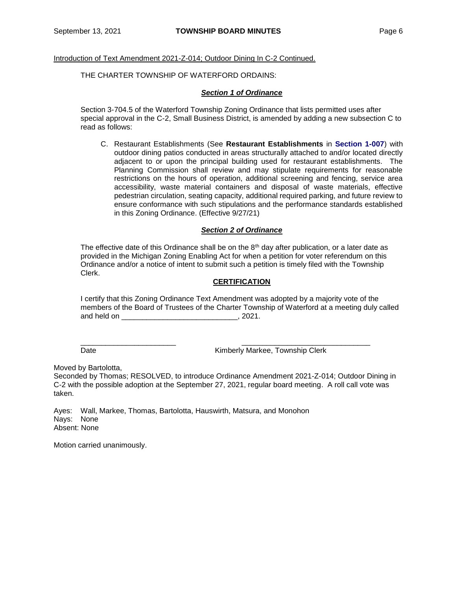Introduction of Text Amendment 2021-Z-014; Outdoor Dining In C-2 Continued.

#### THE CHARTER TOWNSHIP OF WATERFORD ORDAINS:

#### *Section 1 of Ordinance*

Section 3-704.5 of the Waterford Township Zoning Ordinance that lists permitted uses after special approval in the C-2, Small Business District, is amended by adding a new subsection C to read as follows:

C. Restaurant Establishments (See **Restaurant Establishments** in **Section 1-007**) with outdoor dining patios conducted in areas structurally attached to and/or located directly adjacent to or upon the principal building used for restaurant establishments. The Planning Commission shall review and may stipulate requirements for reasonable restrictions on the hours of operation, additional screening and fencing, service area accessibility, waste material containers and disposal of waste materials, effective pedestrian circulation, seating capacity, additional required parking, and future review to ensure conformance with such stipulations and the performance standards established in this Zoning Ordinance. (Effective 9/27/21)

#### *Section 2 of Ordinance*

The effective date of this Ordinance shall be on the  $8<sup>th</sup>$  day after publication, or a later date as provided in the Michigan Zoning Enabling Act for when a petition for voter referendum on this Ordinance and/or a notice of intent to submit such a petition is timely filed with the Township Clerk.

# **CERTIFICATION**

I certify that this Zoning Ordinance Text Amendment was adopted by a majority vote of the members of the Board of Trustees of the Charter Township of Waterford at a meeting duly called and held on \_\_\_\_\_\_\_\_\_\_\_\_\_\_\_\_\_\_\_\_\_\_\_\_\_\_\_\_\_\_\_\_\_\_, 2021.

Date **Date Contract Contract Contract Contract Contract Contract Contract Contract Contract Contract Contract Contract Contract Contract Contract Contract Contract Contract Contract Contract Contract Contract Contract Co** 

Moved by Bartolotta,

Seconded by Thomas; RESOLVED, to introduce Ordinance Amendment 2021-Z-014; Outdoor Dining in C-2 with the possible adoption at the September 27, 2021, regular board meeting. A roll call vote was taken.

\_\_\_\_\_\_\_\_\_\_\_\_\_\_\_\_\_\_\_\_\_\_\_ \_\_\_\_\_\_\_\_\_\_\_\_\_\_\_\_\_\_\_\_\_\_\_\_\_\_\_\_\_\_\_

Ayes: Wall, Markee, Thomas, Bartolotta, Hauswirth, Matsura, and Monohon Nays: None Absent: None

Motion carried unanimously.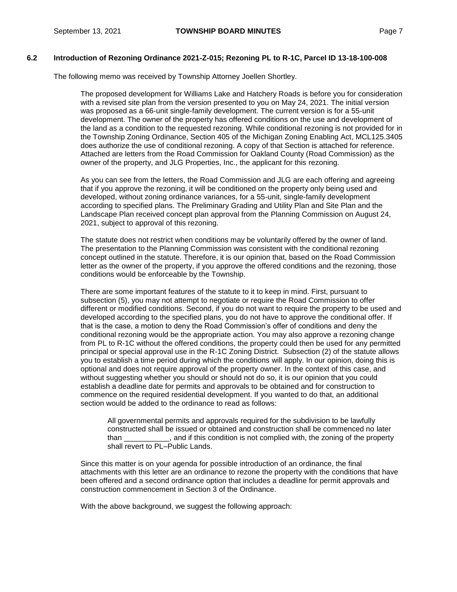The following memo was received by Township Attorney Joellen Shortley.

The proposed development for Williams Lake and Hatchery Roads is before you for consideration with a revised site plan from the version presented to you on May 24, 2021. The initial version was proposed as a 66-unit single-family development. The current version is for a 55-unit development. The owner of the property has offered conditions on the use and development of the land as a condition to the requested rezoning. While conditional rezoning is not provided for in the Township Zoning Ordinance, Section 405 of the Michigan Zoning Enabling Act, MCL125.3405 does authorize the use of conditional rezoning. A copy of that Section is attached for reference. Attached are letters from the Road Commission for Oakland County (Road Commission) as the owner of the property, and JLG Properties, Inc., the applicant for this rezoning.

As you can see from the letters, the Road Commission and JLG are each offering and agreeing that if you approve the rezoning, it will be conditioned on the property only being used and developed, without zoning ordinance variances, for a 55-unit, single-family development according to specified plans. The Preliminary Grading and Utility Plan and Site Plan and the Landscape Plan received concept plan approval from the Planning Commission on August 24, 2021, subject to approval of this rezoning.

The statute does not restrict when conditions may be voluntarily offered by the owner of land. The presentation to the Planning Commission was consistent with the conditional rezoning concept outlined in the statute. Therefore, it is our opinion that, based on the Road Commission letter as the owner of the property, if you approve the offered conditions and the rezoning, those conditions would be enforceable by the Township.

There are some important features of the statute to it to keep in mind. First, pursuant to subsection (5), you may not attempt to negotiate or require the Road Commission to offer different or modified conditions. Second, if you do not want to require the property to be used and developed according to the specified plans, you do not have to approve the conditional offer. If that is the case, a motion to deny the Road Commission's offer of conditions and deny the conditional rezoning would be the appropriate action. You may also approve a rezoning change from PL to R-1C without the offered conditions, the property could then be used for any permitted principal or special approval use in the R-1C Zoning District. Subsection (2) of the statute allows you to establish a time period during which the conditions will apply. In our opinion, doing this is optional and does not require approval of the property owner. In the context of this case, and without suggesting whether you should or should not do so, it is our opinion that you could establish a deadline date for permits and approvals to be obtained and for construction to commence on the required residential development. If you wanted to do that, an additional section would be added to the ordinance to read as follows:

All governmental permits and approvals required for the subdivision to be lawfully constructed shall be issued or obtained and construction shall be commenced no later than \_\_\_\_\_\_\_\_\_\_\_, and if this condition is not complied with, the zoning of the property shall revert to PL–Public Lands.

Since this matter is on your agenda for possible introduction of an ordinance, the final attachments with this letter are an ordinance to rezone the property with the conditions that have been offered and a second ordinance option that includes a deadline for permit approvals and construction commencement in Section 3 of the Ordinance.

With the above background, we suggest the following approach: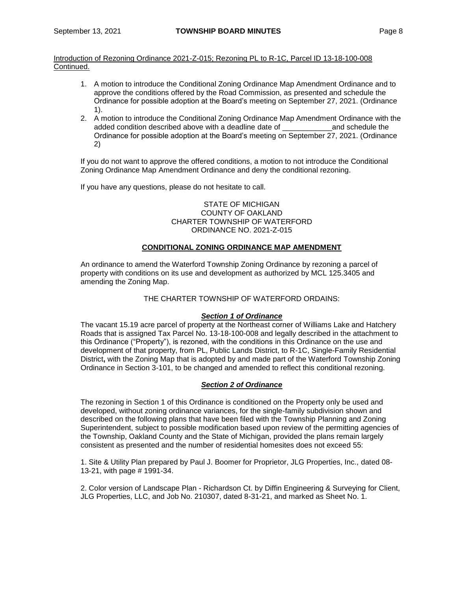- 1. A motion to introduce the Conditional Zoning Ordinance Map Amendment Ordinance and to approve the conditions offered by the Road Commission, as presented and schedule the Ordinance for possible adoption at the Board's meeting on September 27, 2021. (Ordinance 1).
- 2. A motion to introduce the Conditional Zoning Ordinance Map Amendment Ordinance with the added condition described above with a deadline date of \_\_\_\_\_\_\_\_\_\_\_\_and schedule the Ordinance for possible adoption at the Board's meeting on September 27, 2021. (Ordinance 2)

If you do not want to approve the offered conditions, a motion to not introduce the Conditional Zoning Ordinance Map Amendment Ordinance and deny the conditional rezoning.

If you have any questions, please do not hesitate to call.

## STATE OF MICHIGAN COUNTY OF OAKLAND CHARTER TOWNSHIP OF WATERFORD ORDINANCE NO. 2021-Z-015

# **CONDITIONAL ZONING ORDINANCE MAP AMENDMENT**

An ordinance to amend the Waterford Township Zoning Ordinance by rezoning a parcel of property with conditions on its use and development as authorized by MCL 125.3405 and amending the Zoning Map.

# THE CHARTER TOWNSHIP OF WATERFORD ORDAINS:

#### *Section 1 of Ordinance*

The vacant 15.19 acre parcel of property at the Northeast corner of Williams Lake and Hatchery Roads that is assigned Tax Parcel No. 13-18-100-008 and legally described in the attachment to this Ordinance ("Property"), is rezoned, with the conditions in this Ordinance on the use and development of that property, from PL, Public Lands District, to R-1C, Single-Family Residential District**,** with the Zoning Map that is adopted by and made part of the Waterford Township Zoning Ordinance in Section 3-101, to be changed and amended to reflect this conditional rezoning.

# *Section 2 of Ordinance*

The rezoning in Section 1 of this Ordinance is conditioned on the Property only be used and developed, without zoning ordinance variances, for the single-family subdivision shown and described on the following plans that have been filed with the Township Planning and Zoning Superintendent, subject to possible modification based upon review of the permitting agencies of the Township, Oakland County and the State of Michigan, provided the plans remain largely consistent as presented and the number of residential homesites does not exceed 55:

1. Site & Utility Plan prepared by Paul J. Boomer for Proprietor, JLG Properties, Inc., dated 08- 13-21, with page # 1991-34.

2. Color version of Landscape Plan - Richardson Ct. by Diffin Engineering & Surveying for Client, JLG Properties, LLC, and Job No. 210307, dated 8-31-21, and marked as Sheet No. 1.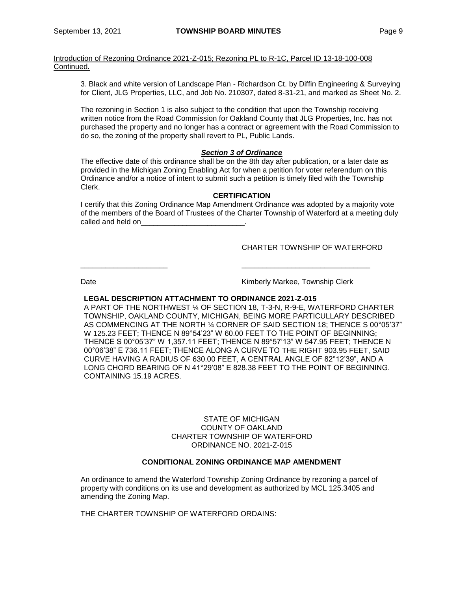3. Black and white version of Landscape Plan - Richardson Ct. by Diffin Engineering & Surveying for Client, JLG Properties, LLC, and Job No. 210307, dated 8-31-21, and marked as Sheet No. 2.

The rezoning in Section 1 is also subject to the condition that upon the Township receiving written notice from the Road Commission for Oakland County that JLG Properties, Inc. has not purchased the property and no longer has a contract or agreement with the Road Commission to do so, the zoning of the property shall revert to PL, Public Lands.

# *Section 3 of Ordinance*

The effective date of this ordinance shall be on the 8th day after publication, or a later date as provided in the Michigan Zoning Enabling Act for when a petition for voter referendum on this Ordinance and/or a notice of intent to submit such a petition is timely filed with the Township Clerk.

#### **CERTIFICATION**

I certify that this Zoning Ordinance Map Amendment Ordinance was adopted by a majority vote of the members of the Board of Trustees of the Charter Township of Waterford at a meeting duly called and held on

\_\_\_\_\_\_\_\_\_\_\_\_\_\_\_\_\_\_\_\_\_ \_\_\_\_\_\_\_\_\_\_\_\_\_\_\_\_\_\_\_\_\_\_\_\_\_\_\_\_\_\_\_

# CHARTER TOWNSHIP OF WATERFORD

Date **Contract Contract Contract Contract Contract Contract Contract Contract Contract Contract Contract Contract Contract Contract Contract Contract Contract Contract Contract Contract Contract Contract Contract Contract** 

#### **LEGAL DESCRIPTION ATTACHMENT TO ORDINANCE 2021-Z-015**

A PART OF THE NORTHWEST ¼ OF SECTION 18, T-3-N, R-9-E, WATERFORD CHARTER TOWNSHIP, OAKLAND COUNTY, MICHIGAN, BEING MORE PARTICULLARY DESCRIBED AS COMMENCING AT THE NORTH ¼ CORNER OF SAID SECTION 18; THENCE S 00°05'37" W 125.23 FEET; THENCE N 89°54'23" W 60.00 FEET TO THE POINT OF BEGINNING; THENCE S 00°05'37" W 1,357.11 FEET; THENCE N 89°57'13" W 547.95 FEET; THENCE N 00°06'38" E 736.11 FEET; THENCE ALONG A CURVE TO THE RIGHT 903.95 FEET, SAID CURVE HAVING A RADIUS OF 630.00 FEET, A CENTRAL ANGLE OF 82°12'39", AND A LONG CHORD BEARING OF N 41°29'08" E 828.38 FEET TO THE POINT OF BEGINNING. CONTAINING 15.19 ACRES.

## STATE OF MICHIGAN COUNTY OF OAKLAND CHARTER TOWNSHIP OF WATERFORD ORDINANCE NO. 2021-Z-015

# **CONDITIONAL ZONING ORDINANCE MAP AMENDMENT**

An ordinance to amend the Waterford Township Zoning Ordinance by rezoning a parcel of property with conditions on its use and development as authorized by MCL 125.3405 and amending the Zoning Map.

THE CHARTER TOWNSHIP OF WATERFORD ORDAINS: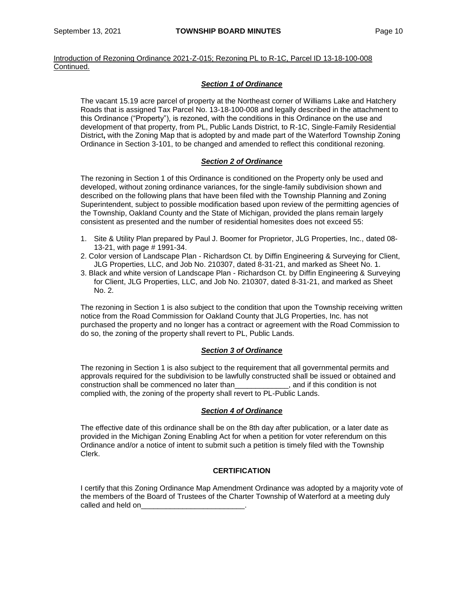# *Section 1 of Ordinance*

The vacant 15.19 acre parcel of property at the Northeast corner of Williams Lake and Hatchery Roads that is assigned Tax Parcel No. 13-18-100-008 and legally described in the attachment to this Ordinance ("Property"), is rezoned, with the conditions in this Ordinance on the use and development of that property, from PL, Public Lands District, to R-1C, Single-Family Residential District**,** with the Zoning Map that is adopted by and made part of the Waterford Township Zoning Ordinance in Section 3-101, to be changed and amended to reflect this conditional rezoning.

# *Section 2 of Ordinance*

The rezoning in Section 1 of this Ordinance is conditioned on the Property only be used and developed, without zoning ordinance variances, for the single-family subdivision shown and described on the following plans that have been filed with the Township Planning and Zoning Superintendent, subject to possible modification based upon review of the permitting agencies of the Township, Oakland County and the State of Michigan, provided the plans remain largely consistent as presented and the number of residential homesites does not exceed 55:

- 1. Site & Utility Plan prepared by Paul J. Boomer for Proprietor, JLG Properties, Inc., dated 08- 13-21, with page # 1991-34.
- 2. Color version of Landscape Plan Richardson Ct. by Diffin Engineering & Surveying for Client, JLG Properties, LLC, and Job No. 210307, dated 8-31-21, and marked as Sheet No. 1.
- 3. Black and white version of Landscape Plan Richardson Ct. by Diffin Engineering & Surveying for Client, JLG Properties, LLC, and Job No. 210307, dated 8-31-21, and marked as Sheet No. 2.

The rezoning in Section 1 is also subject to the condition that upon the Township receiving written notice from the Road Commission for Oakland County that JLG Properties, Inc. has not purchased the property and no longer has a contract or agreement with the Road Commission to do so, the zoning of the property shall revert to PL, Public Lands.

#### *Section 3 of Ordinance*

The rezoning in Section 1 is also subject to the requirement that all governmental permits and approvals required for the subdivision to be lawfully constructed shall be issued or obtained and construction shall be commenced no later than\_\_\_\_\_\_\_\_\_\_\_\_\_, and if this condition is not complied with, the zoning of the property shall revert to PL-Public Lands.

#### *Section 4 of Ordinance*

The effective date of this ordinance shall be on the 8th day after publication, or a later date as provided in the Michigan Zoning Enabling Act for when a petition for voter referendum on this Ordinance and/or a notice of intent to submit such a petition is timely filed with the Township Clerk.

#### **CERTIFICATION**

I certify that this Zoning Ordinance Map Amendment Ordinance was adopted by a majority vote of the members of the Board of Trustees of the Charter Township of Waterford at a meeting duly called and held on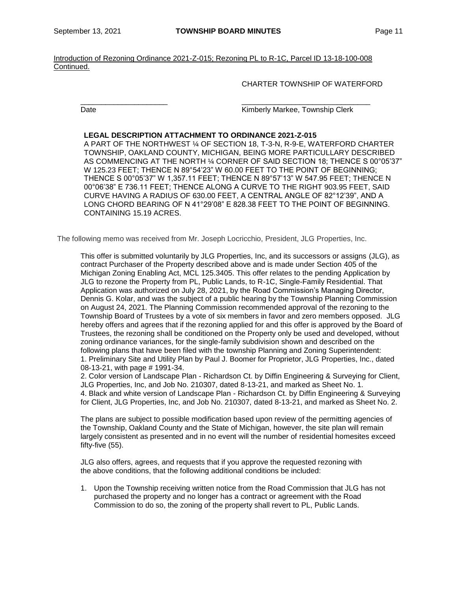\_\_\_\_\_\_\_\_\_\_\_\_\_\_\_\_\_\_\_\_\_ \_\_\_\_\_\_\_\_\_\_\_\_\_\_\_\_\_\_\_\_\_\_\_\_\_\_\_\_\_\_\_

Introduction of Rezoning Ordinance 2021-Z-015; Rezoning PL to R-1C, Parcel ID 13-18-100-008 Continued.

CHARTER TOWNSHIP OF WATERFORD

Date **Contract Contract Contract Contract Contract Contract Contract Contract Contract Contract Contract Contract Contract Contract Contract Contract Contract Contract Contract Contract Contract Contract Contract Contract** 

### **LEGAL DESCRIPTION ATTACHMENT TO ORDINANCE 2021-Z-015**

A PART OF THE NORTHWEST ¼ OF SECTION 18, T-3-N, R-9-E, WATERFORD CHARTER TOWNSHIP, OAKLAND COUNTY, MICHIGAN, BEING MORE PARTICULLARY DESCRIBED AS COMMENCING AT THE NORTH ¼ CORNER OF SAID SECTION 18; THENCE S 00°05'37" W 125.23 FEET; THENCE N 89°54'23" W 60.00 FEET TO THE POINT OF BEGINNING; THENCE S 00°05'37" W 1,357.11 FEET; THENCE N 89°57'13" W 547.95 FEET; THENCE N 00°06'38" E 736.11 FEET; THENCE ALONG A CURVE TO THE RIGHT 903.95 FEET, SAID CURVE HAVING A RADIUS OF 630.00 FEET, A CENTRAL ANGLE OF 82°12'39", AND A LONG CHORD BEARING OF N 41°29'08" E 828.38 FEET TO THE POINT OF BEGINNING. CONTAINING 15.19 ACRES.

The following memo was received from Mr. Joseph Locricchio, President, JLG Properties, Inc.

This offer is submitted voluntarily by JLG Properties, Inc, and its successors or assigns (JLG), as contract Purchaser of the Property described above and is made under Section 405 of the Michigan Zoning Enabling Act, MCL 125.3405. This offer relates to the pending Application by JLG to rezone the Property from PL, Public Lands, to R-1C, Single-Family Residential. That Application was authorized on July 28, 2021, by the Road Commission's Managing Director, Dennis G. Kolar, and was the subject of a public hearing by the Township Planning Commission on August 24, 2021. The Planning Commission recommended approval of the rezoning to the Township Board of Trustees by a vote of six members in favor and zero members opposed. JLG hereby offers and agrees that if the rezoning applied for and this offer is approved by the Board of Trustees, the rezoning shall be conditioned on the Property only be used and developed, without zoning ordinance variances, for the single-family subdivision shown and described on the following plans that have been filed with the township Planning and Zoning Superintendent: 1. Preliminary Site and Utility Plan by Paul J. Boomer for Proprietor, JLG Properties, Inc., dated 08-13-21, with page # 1991-34.

2. Color version of Landscape Plan - Richardson Ct. by Diffin Engineering & Surveying for Client, JLG Properties, Inc, and Job No. 210307, dated 8-13-21, and marked as Sheet No. 1. 4. Black and white version of Landscape Plan - Richardson Ct. by Diffin Engineering & Surveying for Client, JLG Properties, Inc, and Job No. 210307, dated 8-13-21, and marked as Sheet No. 2.

The plans are subject to possible modification based upon review of the permitting agencies of the Township, Oakland County and the State of Michigan, however, the site plan will remain largely consistent as presented and in no event will the number of residential homesites exceed fifty-five (55).

JLG also offers, agrees, and requests that if you approve the requested rezoning with the above conditions, that the following additional conditions be included:

1. Upon the Township receiving written notice from the Road Commission that JLG has not purchased the property and no longer has a contract or agreement with the Road Commission to do so, the zoning of the property shall revert to PL, Public Lands.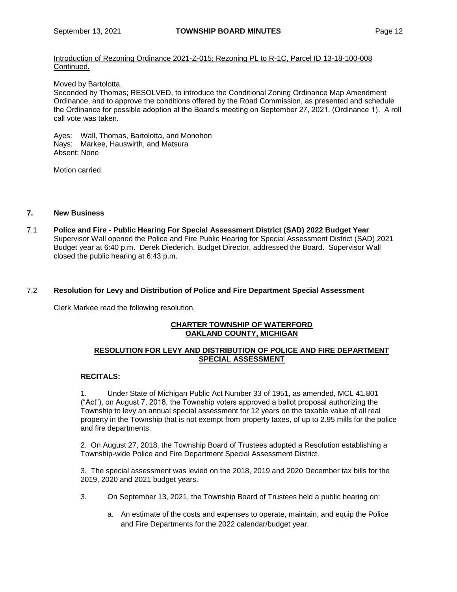Moved by Bartolotta,

Seconded by Thomas; RESOLVED, to introduce the Conditional Zoning Ordinance Map Amendment Ordinance, and to approve the conditions offered by the Road Commission, as presented and schedule the Ordinance for possible adoption at the Board's meeting on September 27, 2021. (Ordinance 1). A roll call vote was taken.

Ayes: Wall, Thomas, Bartolotta, and Monohon Nays: Markee, Hauswirth, and Matsura Absent: None

Motion carried.

#### **7. New Business**

7.1 **Police and Fire - Public Hearing For Special Assessment District (SAD) 2022 Budget Year** Supervisor Wall opened the Police and Fire Public Hearing for Special Assessment District (SAD) 2021 Budget year at 6:40 p.m. Derek Diederich, Budget Director, addressed the Board. Supervisor Wall closed the public hearing at 6:43 p.m.

#### 7.2 **Resolution for Levy and Distribution of Police and Fire Department Special Assessment**

Clerk Markee read the following resolution.

# **CHARTER TOWNSHIP OF WATERFORD OAKLAND COUNTY, MICHIGAN**

# **RESOLUTION FOR LEVY AND DISTRIBUTION OF POLICE AND FIRE DEPARTMENT SPECIAL ASSESSMENT**

# **RECITALS:**

1. Under State of Michigan Public Act Number 33 of 1951, as amended, MCL 41.801 ("Act"), on August 7, 2018, the Township voters approved a ballot proposal authorizing the Township to levy an annual special assessment for 12 years on the taxable value of all real property in the Township that is not exempt from property taxes, of up to 2.95 mills for the police and fire departments.

2. On August 27, 2018, the Township Board of Trustees adopted a Resolution establishing a Township-wide Police and Fire Department Special Assessment District.

3. The special assessment was levied on the 2018, 2019 and 2020 December tax bills for the 2019, 2020 and 2021 budget years.

- 3. On September 13, 2021, the Township Board of Trustees held a public hearing on:
	- a. An estimate of the costs and expenses to operate, maintain, and equip the Police and Fire Departments for the 2022 calendar/budget year.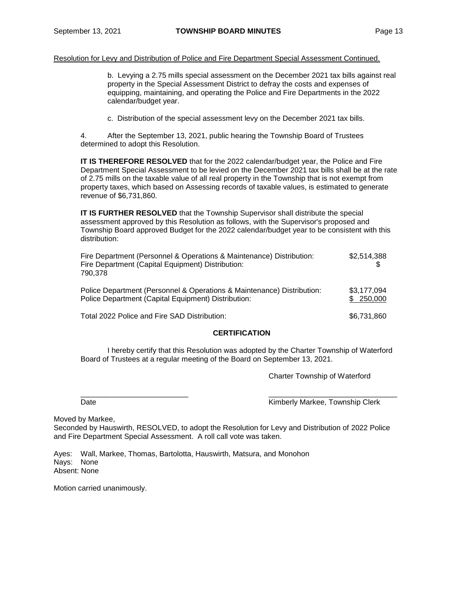Resolution for Levy and Distribution of Police and Fire Department Special Assessment Continued.

b. Levying a 2.75 mills special assessment on the December 2021 tax bills against real property in the Special Assessment District to defray the costs and expenses of equipping, maintaining, and operating the Police and Fire Departments in the 2022 calendar/budget year.

c. Distribution of the special assessment levy on the December 2021 tax bills.

4. After the September 13, 2021, public hearing the Township Board of Trustees determined to adopt this Resolution.

**IT IS THEREFORE RESOLVED** that for the 2022 calendar/budget year, the Police and Fire Department Special Assessment to be levied on the December 2021 tax bills shall be at the rate of 2.75 mills on the taxable value of all real property in the Township that is not exempt from property taxes, which based on Assessing records of taxable values, is estimated to generate revenue of \$6,731,860.

**IT IS FURTHER RESOLVED** that the Township Supervisor shall distribute the special assessment approved by this Resolution as follows, with the Supervisor's proposed and Township Board approved Budget for the 2022 calendar/budget year to be consistent with this distribution:

| Fire Department (Personnel & Operations & Maintenance) Distribution:<br>Fire Department (Capital Equipment) Distribution:<br>790.378 | \$2,514,388               |
|--------------------------------------------------------------------------------------------------------------------------------------|---------------------------|
| Police Department (Personnel & Operations & Maintenance) Distribution:<br>Police Department (Capital Equipment) Distribution:        | \$3,177,094<br>\$ 250,000 |
| Total 2022 Police and Fire SAD Distribution:                                                                                         | \$6,731,860               |

# **CERTIFICATION**

I hereby certify that this Resolution was adopted by the Charter Township of Waterford Board of Trustees at a regular meeting of the Board on September 13, 2021.

Charter Township of Waterford

\_\_\_\_\_\_\_\_\_\_\_\_\_\_\_\_\_\_\_\_\_\_\_\_\_\_ \_\_\_\_\_\_\_\_\_\_\_\_\_\_\_\_\_\_\_\_\_\_\_\_\_\_\_\_\_\_\_ Date **Contract Contract Contract Contract Contract Contract Contract Contract Contract Contract Contract Contract Contract Contract Contract Contract Contract Contract Contract Contract Contract Contract Contract Contract** 

Moved by Markee,

Seconded by Hauswirth, RESOLVED, to adopt the Resolution for Levy and Distribution of 2022 Police and Fire Department Special Assessment. A roll call vote was taken.

Ayes: Wall, Markee, Thomas, Bartolotta, Hauswirth, Matsura, and Monohon Nays: None Absent: None

Motion carried unanimously.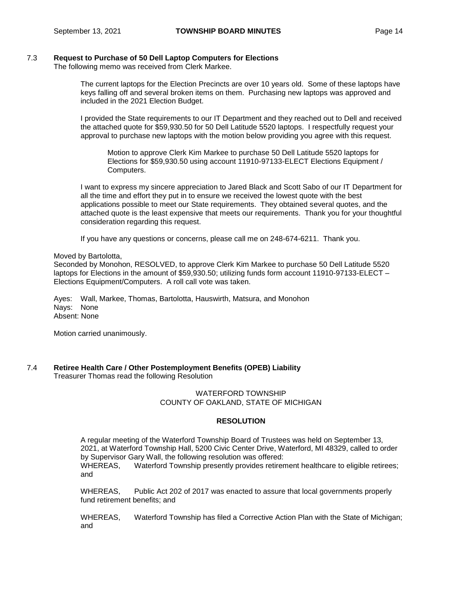# 7.3 **Request to Purchase of 50 Dell Laptop Computers for Elections**

The following memo was received from Clerk Markee.

The current laptops for the Election Precincts are over 10 years old. Some of these laptops have keys falling off and several broken items on them. Purchasing new laptops was approved and included in the 2021 Election Budget.

I provided the State requirements to our IT Department and they reached out to Dell and received the attached quote for \$59,930.50 for 50 Dell Latitude 5520 laptops. I respectfully request your approval to purchase new laptops with the motion below providing you agree with this request.

Motion to approve Clerk Kim Markee to purchase 50 Dell Latitude 5520 laptops for Elections for \$59,930.50 using account 11910-97133-ELECT Elections Equipment / Computers.

I want to express my sincere appreciation to Jared Black and Scott Sabo of our IT Department for all the time and effort they put in to ensure we received the lowest quote with the best applications possible to meet our State requirements. They obtained several quotes, and the attached quote is the least expensive that meets our requirements. Thank you for your thoughtful consideration regarding this request.

If you have any questions or concerns, please call me on 248-674-6211. Thank you.

Moved by Bartolotta,

Seconded by Monohon, RESOLVED, to approve Clerk Kim Markee to purchase 50 Dell Latitude 5520 laptops for Elections in the amount of \$59,930.50; utilizing funds form account 11910-97133-ELECT – Elections Equipment/Computers. A roll call vote was taken.

Ayes: Wall, Markee, Thomas, Bartolotta, Hauswirth, Matsura, and Monohon Nays: None Absent: None

Motion carried unanimously.

7.4 **Retiree Health Care / Other Postemployment Benefits (OPEB) Liability**

Treasurer Thomas read the following Resolution

# WATERFORD TOWNSHIP COUNTY OF OAKLAND, STATE OF MICHIGAN

#### **RESOLUTION**

A regular meeting of the Waterford Township Board of Trustees was held on September 13, 2021, at Waterford Township Hall, 5200 Civic Center Drive, Waterford, MI 48329, called to order by Supervisor Gary Wall, the following resolution was offered: WHEREAS, Waterford Township presently provides retirement healthcare to eligible retirees; and

WHEREAS, Public Act 202 of 2017 was enacted to assure that local governments properly fund retirement benefits; and

WHEREAS, Waterford Township has filed a Corrective Action Plan with the State of Michigan; and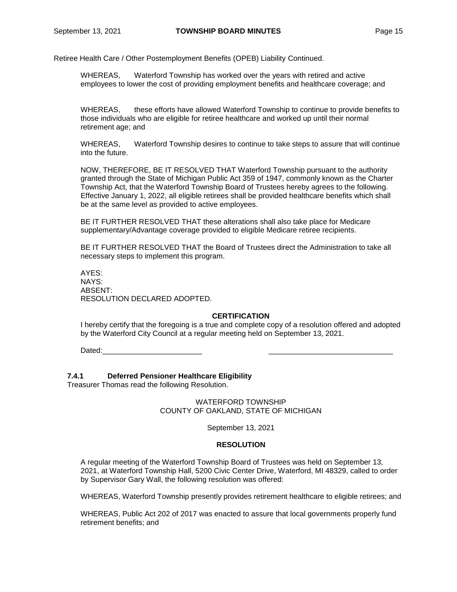Retiree Health Care / Other Postemployment Benefits (OPEB) Liability Continued.

WHEREAS, Waterford Township has worked over the years with retired and active employees to lower the cost of providing employment benefits and healthcare coverage; and

WHEREAS, these efforts have allowed Waterford Township to continue to provide benefits to those individuals who are eligible for retiree healthcare and worked up until their normal retirement age; and

WHEREAS, Waterford Township desires to continue to take steps to assure that will continue into the future.

NOW, THEREFORE, BE IT RESOLVED THAT Waterford Township pursuant to the authority granted through the State of Michigan Public Act 359 of 1947, commonly known as the Charter Township Act, that the Waterford Township Board of Trustees hereby agrees to the following. Effective January 1, 2022, all eligible retirees shall be provided healthcare benefits which shall be at the same level as provided to active employees.

BE IT FURTHER RESOLVED THAT these alterations shall also take place for Medicare supplementary/Advantage coverage provided to eligible Medicare retiree recipients.

BE IT FURTHER RESOLVED THAT the Board of Trustees direct the Administration to take all necessary steps to implement this program.

AYES: NAYS: ABSENT: RESOLUTION DECLARED ADOPTED.

#### **CERTIFICATION**

I hereby certify that the foregoing is a true and complete copy of a resolution offered and adopted by the Waterford City Council at a regular meeting held on September 13, 2021.

Dated:\_\_\_\_\_\_\_\_\_\_\_\_\_\_\_\_\_\_\_\_\_\_\_\_ \_\_\_\_\_\_\_\_\_\_\_\_\_\_\_\_\_\_\_\_\_\_\_\_\_\_\_\_\_\_

#### **7.4.1 Deferred Pensioner Healthcare Eligibility**

Treasurer Thomas read the following Resolution.

WATERFORD TOWNSHIP COUNTY OF OAKLAND, STATE OF MICHIGAN

September 13, 2021

#### **RESOLUTION**

A regular meeting of the Waterford Township Board of Trustees was held on September 13, 2021, at Waterford Township Hall, 5200 Civic Center Drive, Waterford, MI 48329, called to order by Supervisor Gary Wall, the following resolution was offered:

WHEREAS, Waterford Township presently provides retirement healthcare to eligible retirees; and

WHEREAS, Public Act 202 of 2017 was enacted to assure that local governments properly fund retirement benefits; and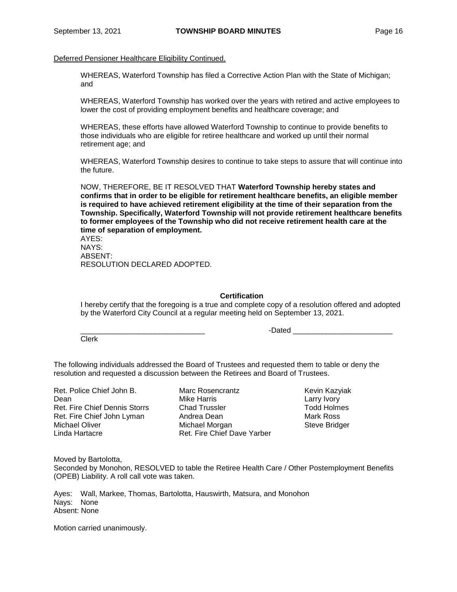Deferred Pensioner Healthcare Eligibility Continued.

WHEREAS, Waterford Township has filed a Corrective Action Plan with the State of Michigan; and

WHEREAS, Waterford Township has worked over the years with retired and active employees to lower the cost of providing employment benefits and healthcare coverage; and

WHEREAS, these efforts have allowed Waterford Township to continue to provide benefits to those individuals who are eligible for retiree healthcare and worked up until their normal retirement age; and

WHEREAS, Waterford Township desires to continue to take steps to assure that will continue into the future.

NOW, THEREFORE, BE IT RESOLVED THAT **Waterford Township hereby states and confirms that in order to be eligible for retirement healthcare benefits, an eligible member is required to have achieved retirement eligibility at the time of their separation from the Township. Specifically, Waterford Township will not provide retirement healthcare benefits to former employees of the Township who did not receive retirement health care at the time of separation of employment.**

AYES: NAYS: ABSENT: RESOLUTION DECLARED ADOPTED.

**Certification**

I hereby certify that the foregoing is a true and complete copy of a resolution offered and adopted by the Waterford City Council at a regular meeting held on September 13, 2021.

-Dated \_\_\_\_\_\_\_\_\_\_\_\_

Clerk

The following individuals addressed the Board of Trustees and requested them to table or deny the resolution and requested a discussion between the Retirees and Board of Trustees.

Ret. Police Chief John B. Dean Ret. Fire Chief Dennis Storrs Ret. Fire Chief John Lyman Michael Oliver Linda Hartacre

Marc Rosencrantz Mike Harris Chad Trussler Andrea Dean Michael Morgan Ret. Fire Chief Dave Yarber

Kevin Kazyiak Larry Ivory Todd Holmes Mark Ross Steve Bridger

Moved by Bartolotta,

Seconded by Monohon, RESOLVED to table the Retiree Health Care / Other Postemployment Benefits (OPEB) Liability. A roll call vote was taken.

Ayes: Wall, Markee, Thomas, Bartolotta, Hauswirth, Matsura, and Monohon Nays: None Absent: None

Motion carried unanimously.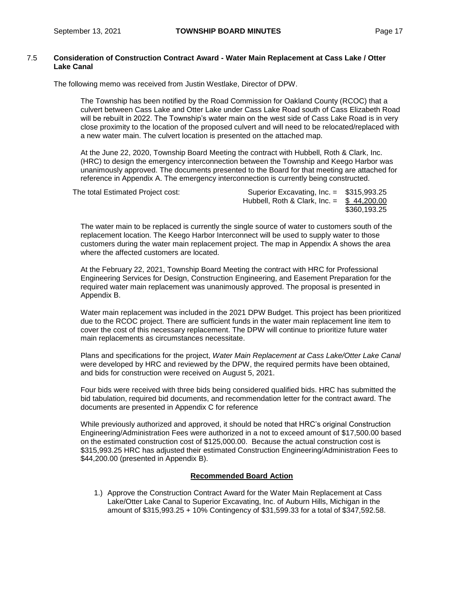## 7.5 **Consideration of Construction Contract Award - Water Main Replacement at Cass Lake / Otter Lake Canal**

The following memo was received from Justin Westlake, Director of DPW.

The Township has been notified by the Road Commission for Oakland County (RCOC) that a culvert between Cass Lake and Otter Lake under Cass Lake Road south of Cass Elizabeth Road will be rebuilt in 2022. The Township's water main on the west side of Cass Lake Road is in very close proximity to the location of the proposed culvert and will need to be relocated/replaced with a new water main. The culvert location is presented on the attached map.

At the June 22, 2020, Township Board Meeting the contract with Hubbell, Roth & Clark, Inc. (HRC) to design the emergency interconnection between the Township and Keego Harbor was unanimously approved. The documents presented to the Board for that meeting are attached for reference in Appendix A. The emergency interconnection is currently being constructed.

| The total Estimated Project cost: | Superior Excavating, Inc. = \$315,993.25      |              |
|-----------------------------------|-----------------------------------------------|--------------|
|                                   | Hubbell, Roth & Clark, $\ln c =$ \$ 44,200,00 |              |
|                                   |                                               | \$360.193.25 |

The water main to be replaced is currently the single source of water to customers south of the replacement location. The Keego Harbor Interconnect will be used to supply water to those customers during the water main replacement project. The map in Appendix A shows the area where the affected customers are located.

At the February 22, 2021, Township Board Meeting the contract with HRC for Professional Engineering Services for Design, Construction Engineering, and Easement Preparation for the required water main replacement was unanimously approved. The proposal is presented in Appendix B.

Water main replacement was included in the 2021 DPW Budget. This project has been prioritized due to the RCOC project. There are sufficient funds in the water main replacement line item to cover the cost of this necessary replacement. The DPW will continue to prioritize future water main replacements as circumstances necessitate.

Plans and specifications for the project, *Water Main Replacement at Cass Lake/Otter Lake Canal*  were developed by HRC and reviewed by the DPW, the required permits have been obtained, and bids for construction were received on August 5, 2021.

Four bids were received with three bids being considered qualified bids. HRC has submitted the bid tabulation, required bid documents, and recommendation letter for the contract award. The documents are presented in Appendix C for reference

While previously authorized and approved, it should be noted that HRC's original Construction Engineering/Administration Fees were authorized in a not to exceed amount of \$17,500.00 based on the estimated construction cost of \$125,000.00. Because the actual construction cost is \$315,993.25 HRC has adjusted their estimated Construction Engineering/Administration Fees to \$44,200.00 (presented in Appendix B).

#### **Recommended Board Action**

1.) Approve the Construction Contract Award for the Water Main Replacement at Cass Lake/Otter Lake Canal to Superior Excavating, Inc. of Auburn Hills, Michigan in the amount of \$315,993.25 + 10% Contingency of \$31,599.33 for a total of \$347,592.58.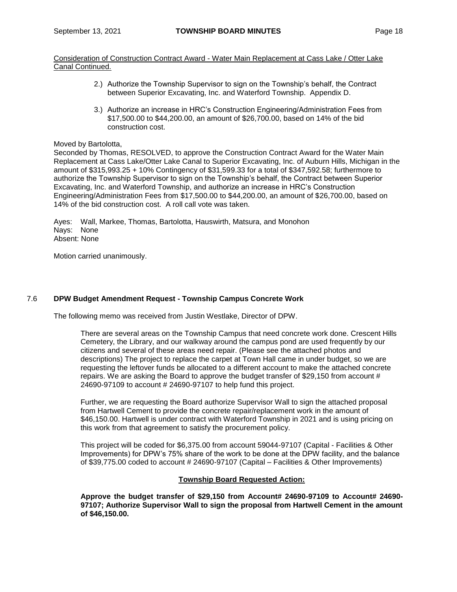Consideration of Construction Contract Award - Water Main Replacement at Cass Lake / Otter Lake Canal Continued.

- 2.) Authorize the Township Supervisor to sign on the Township's behalf, the Contract between Superior Excavating, Inc. and Waterford Township. Appendix D.
- 3.) Authorize an increase in HRC's Construction Engineering/Administration Fees from \$17,500.00 to \$44,200.00, an amount of \$26,700.00, based on 14% of the bid construction cost.

#### Moved by Bartolotta,

Seconded by Thomas, RESOLVED, to approve the Construction Contract Award for the Water Main Replacement at Cass Lake/Otter Lake Canal to Superior Excavating, Inc. of Auburn Hills, Michigan in the amount of \$315,993.25 + 10% Contingency of \$31,599.33 for a total of \$347,592.58; furthermore to authorize the Township Supervisor to sign on the Township's behalf, the Contract between Superior Excavating, Inc. and Waterford Township, and authorize an increase in HRC's Construction Engineering/Administration Fees from \$17,500.00 to \$44,200.00, an amount of \$26,700.00, based on 14% of the bid construction cost. A roll call vote was taken.

Ayes: Wall, Markee, Thomas, Bartolotta, Hauswirth, Matsura, and Monohon Nays: None Absent: None

Motion carried unanimously.

#### 7.6 **DPW Budget Amendment Request - Township Campus Concrete Work**

The following memo was received from Justin Westlake, Director of DPW.

There are several areas on the Township Campus that need concrete work done. Crescent Hills Cemetery, the Library, and our walkway around the campus pond are used frequently by our citizens and several of these areas need repair. (Please see the attached photos and descriptions) The project to replace the carpet at Town Hall came in under budget, so we are requesting the leftover funds be allocated to a different account to make the attached concrete repairs. We are asking the Board to approve the budget transfer of \$29,150 from account # 24690-97109 to account # 24690-97107 to help fund this project.

Further, we are requesting the Board authorize Supervisor Wall to sign the attached proposal from Hartwell Cement to provide the concrete repair/replacement work in the amount of \$46,150.00. Hartwell is under contract with Waterford Township in 2021 and is using pricing on this work from that agreement to satisfy the procurement policy.

This project will be coded for \$6,375.00 from account 59044-97107 (Capital - Facilities & Other Improvements) for DPW's 75% share of the work to be done at the DPW facility, and the balance of \$39,775.00 coded to account # 24690-97107 (Capital – Facilities & Other Improvements)

#### **Township Board Requested Action:**

**Approve the budget transfer of \$29,150 from Account# 24690-97109 to Account# 24690- 97107; Authorize Supervisor Wall to sign the proposal from Hartwell Cement in the amount of \$46,150.00.**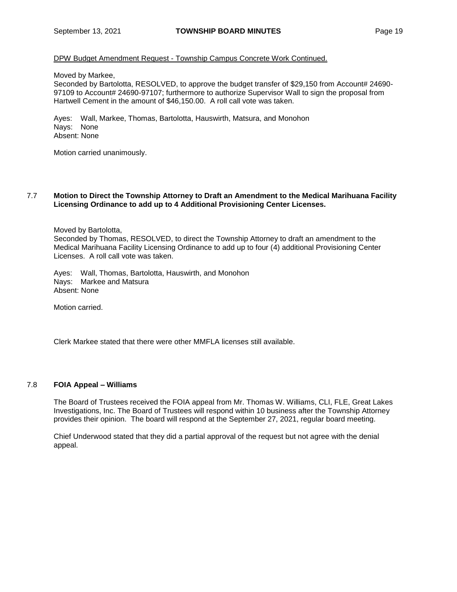## DPW Budget Amendment Request - Township Campus Concrete Work Continued.

Moved by Markee,

Seconded by Bartolotta, RESOLVED, to approve the budget transfer of \$29,150 from Account# 24690- 97109 to Account# 24690-97107; furthermore to authorize Supervisor Wall to sign the proposal from Hartwell Cement in the amount of \$46,150.00. A roll call vote was taken.

Ayes: Wall, Markee, Thomas, Bartolotta, Hauswirth, Matsura, and Monohon Nays: None Absent: None

Motion carried unanimously.

#### 7.7 **Motion to Direct the Township Attorney to Draft an Amendment to the Medical Marihuana Facility Licensing Ordinance to add up to 4 Additional Provisioning Center Licenses.**

Moved by Bartolotta,

Seconded by Thomas, RESOLVED, to direct the Township Attorney to draft an amendment to the Medical Marihuana Facility Licensing Ordinance to add up to four (4) additional Provisioning Center Licenses. A roll call vote was taken.

Ayes: Wall, Thomas, Bartolotta, Hauswirth, and Monohon Nays: Markee and Matsura Absent: None

Motion carried.

Clerk Markee stated that there were other MMFLA licenses still available.

#### 7.8 **FOIA Appeal – Williams**

The Board of Trustees received the FOIA appeal from Mr. Thomas W. Williams, CLI, FLE, Great Lakes Investigations, Inc. The Board of Trustees will respond within 10 business after the Township Attorney provides their opinion. The board will respond at the September 27, 2021, regular board meeting.

Chief Underwood stated that they did a partial approval of the request but not agree with the denial appeal.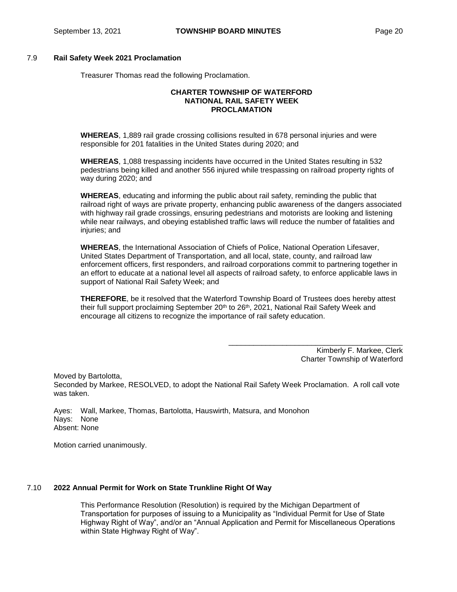## 7.9 **Rail Safety Week 2021 Proclamation**

Treasurer Thomas read the following Proclamation.

### **CHARTER TOWNSHIP OF WATERFORD NATIONAL RAIL SAFETY WEEK PROCLAMATION**

**WHEREAS**, 1,889 rail grade crossing collisions resulted in 678 personal injuries and were responsible for 201 fatalities in the United States during 2020; and

**WHEREAS**, 1,088 trespassing incidents have occurred in the United States resulting in 532 pedestrians being killed and another 556 injured while trespassing on railroad property rights of way during 2020; and

**WHEREAS**, educating and informing the public about rail safety, reminding the public that railroad right of ways are private property, enhancing public awareness of the dangers associated with highway rail grade crossings, ensuring pedestrians and motorists are looking and listening while near railways, and obeying established traffic laws will reduce the number of fatalities and injuries; and

**WHEREAS**, the International Association of Chiefs of Police, National Operation Lifesaver, United States Department of Transportation, and all local, state, county, and railroad law enforcement officers, first responders, and railroad corporations commit to partnering together in an effort to educate at a national level all aspects of railroad safety, to enforce applicable laws in support of National Rail Safety Week; and

**THEREFORE**, be it resolved that the Waterford Township Board of Trustees does hereby attest their full support proclaiming September 20<sup>th</sup> to 26<sup>th</sup>, 2021, National Rail Safety Week and encourage all citizens to recognize the importance of rail safety education.

> Kimberly F. Markee, Clerk Charter Township of Waterford

\_\_\_\_\_\_\_\_\_\_\_\_\_\_\_\_\_\_\_\_\_\_\_\_\_\_\_\_\_\_\_\_\_\_\_\_\_\_\_\_\_\_

Moved by Bartolotta,

Seconded by Markee, RESOLVED, to adopt the National Rail Safety Week Proclamation. A roll call vote was taken.

Ayes: Wall, Markee, Thomas, Bartolotta, Hauswirth, Matsura, and Monohon Nays: None Absent: None

Motion carried unanimously.

#### 7.10 **2022 Annual Permit for Work on State Trunkline Right Of Way**

This Performance Resolution (Resolution) is required by the Michigan Department of Transportation for purposes of issuing to a Municipality as "Individual Permit for Use of State Highway Right of Way", and/or an "Annual Application and Permit for Miscellaneous Operations within State Highway Right of Way".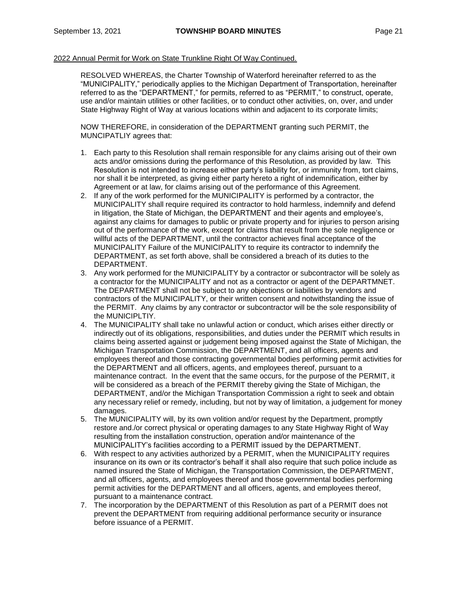## 2022 Annual Permit for Work on State Trunkline Right Of Way Continued.

RESOLVED WHEREAS, the Charter Township of Waterford hereinafter referred to as the "MUNICIPALITY," periodically applies to the Michigan Department of Transportation, hereinafter referred to as the "DEPARTMENT," for permits, referred to as "PERMIT," to construct, operate, use and/or maintain utilities or other facilities, or to conduct other activities, on, over, and under State Highway Right of Way at various locations within and adjacent to its corporate limits;

NOW THEREFORE, in consideration of the DEPARTMENT granting such PERMIT, the MUNCIPATLIY agrees that:

- 1. Each party to this Resolution shall remain responsible for any claims arising out of their own acts and/or omissions during the performance of this Resolution, as provided by law. This Resolution is not intended to increase either party's liability for, or immunity from, tort claims, nor shall it be interpreted, as giving either party hereto a right of indemnification, either by Agreement or at law, for claims arising out of the performance of this Agreement.
- 2. If any of the work performed for the MUNICIPALITY is performed by a contractor, the MUNICIPALITY shall require required its contractor to hold harmless, indemnify and defend in litigation, the State of Michigan, the DEPARTMENT and their agents and employee's, against any claims for damages to public or private property and for injuries to person arising out of the performance of the work, except for claims that result from the sole negligence or willful acts of the DEPARTMENT, until the contractor achieves final acceptance of the MUNICIPALITY Failure of the MUNICIPALITY to require its contractor to indemnify the DEPARTMENT, as set forth above, shall be considered a breach of its duties to the DEPARTMENT.
- 3. Any work performed for the MUNICIPALITY by a contractor or subcontractor will be solely as a contractor for the MUNICIPALITY and not as a contractor or agent of the DEPARTMNET. The DEPARTMENT shall not be subject to any objections or liabilities by vendors and contractors of the MUNICIPALITY, or their written consent and notwithstanding the issue of the PERMIT. Any claims by any contractor or subcontractor will be the sole responsibility of the MUNICIPLTIY.
- 4. The MUNICIPALITY shall take no unlawful action or conduct, which arises either directly or indirectly out of its obligations, responsibilities, and duties under the PERMIT which results in claims being asserted against or judgement being imposed against the State of Michigan, the Michigan Transportation Commission, the DEPARTMENT, and all officers, agents and employees thereof and those contracting governmental bodies performing permit activities for the DEPARTMENT and all officers, agents, and employees thereof, pursuant to a maintenance contract. In the event that the same occurs, for the purpose of the PERMIT, it will be considered as a breach of the PERMIT thereby giving the State of Michigan, the DEPARTMENT, and/or the Michigan Transportation Commission a right to seek and obtain any necessary relief or remedy, including, but not by way of limitation, a judgement for money damages.
- 5. The MUNICIPALITY will, by its own volition and/or request by the Department, promptly restore and./or correct physical or operating damages to any State Highway Right of Way resulting from the installation construction, operation and/or maintenance of the MUNICIPALITY's facilities according to a PERMIT issued by the DEPARTMENT.
- 6. With respect to any activities authorized by a PERMIT, when the MUNICIPALITY requires insurance on its own or its contractor's behalf it shall also require that such police include as named insured the State of Michigan, the Transportation Commission, the DEPARTMENT, and all officers, agents, and employees thereof and those governmental bodies performing permit activities for the DEPARTMENT and all officers, agents, and employees thereof, pursuant to a maintenance contract.
- 7. The incorporation by the DEPARTMENT of this Resolution as part of a PERMIT does not prevent the DEPARTMENT from requiring additional performance security or insurance before issuance of a PERMIT.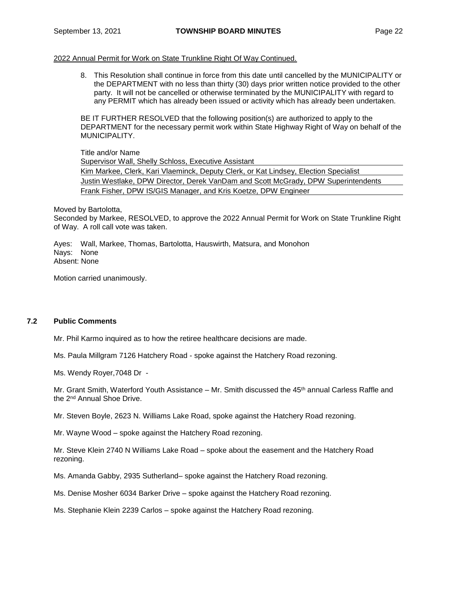## 2022 Annual Permit for Work on State Trunkline Right Of Way Continued.

8. This Resolution shall continue in force from this date until cancelled by the MUNICIPALITY or the DEPARTMENT with no less than thirty (30) days prior written notice provided to the other party. It will not be cancelled or otherwise terminated by the MUNICIPALITY with regard to any PERMIT which has already been issued or activity which has already been undertaken.

BE IT FURTHER RESOLVED that the following position(s) are authorized to apply to the DEPARTMENT for the necessary permit work within State Highway Right of Way on behalf of the MUNICIPALITY.

Title and/or Name

Supervisor Wall, Shelly Schloss, Executive Assistant

Kim Markee, Clerk, Kari Vlaeminck, Deputy Clerk, or Kat Lindsey, Election Specialist Justin Westlake, DPW Director, Derek VanDam and Scott McGrady, DPW Superintendents Frank Fisher, DPW IS/GIS Manager, and Kris Koetze, DPW Engineer

#### Moved by Bartolotta,

Seconded by Markee, RESOLVED, to approve the 2022 Annual Permit for Work on State Trunkline Right of Way. A roll call vote was taken.

Ayes: Wall, Markee, Thomas, Bartolotta, Hauswirth, Matsura, and Monohon Nays: None Absent: None

Motion carried unanimously.

# **7.2 Public Comments**

Mr. Phil Karmo inquired as to how the retiree healthcare decisions are made.

Ms. Paula Millgram 7126 Hatchery Road - spoke against the Hatchery Road rezoning.

Ms. Wendy Royer,7048 Dr -

Mr. Grant Smith, Waterford Youth Assistance – Mr. Smith discussed the 45<sup>th</sup> annual Carless Raffle and the 2nd Annual Shoe Drive.

Mr. Steven Boyle, 2623 N. Williams Lake Road, spoke against the Hatchery Road rezoning.

Mr. Wayne Wood – spoke against the Hatchery Road rezoning.

Mr. Steve Klein 2740 N Williams Lake Road – spoke about the easement and the Hatchery Road rezoning.

Ms. Amanda Gabby, 2935 Sutherland– spoke against the Hatchery Road rezoning.

Ms. Denise Mosher 6034 Barker Drive – spoke against the Hatchery Road rezoning.

Ms. Stephanie Klein 2239 Carlos – spoke against the Hatchery Road rezoning.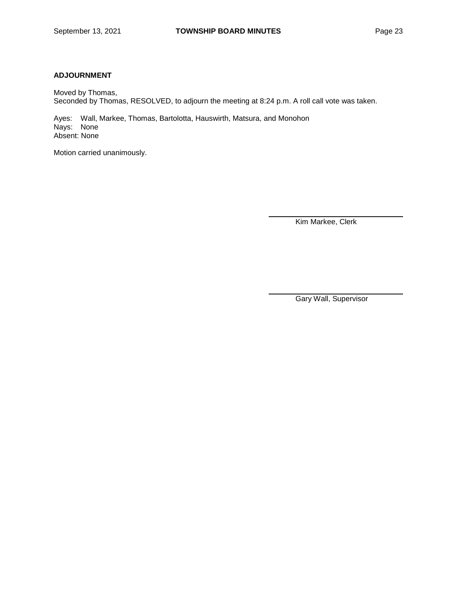# **ADJOURNMENT**

Moved by Thomas, Seconded by Thomas, RESOLVED, to adjourn the meeting at 8:24 p.m. A roll call vote was taken.

Ayes: Wall, Markee, Thomas, Bartolotta, Hauswirth, Matsura, and Monohon Nays: None Absent: None

Motion carried unanimously.

Kim Markee, Clerk

Gary Wall, Supervisor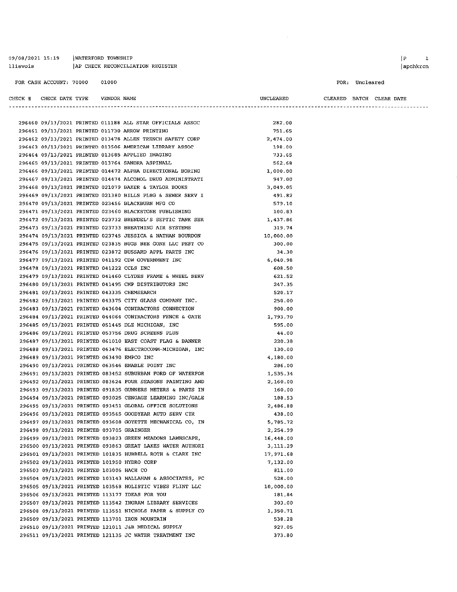09/08/2021 15:19 | WATERFORD TOWNSHIP llievois AP CHECK RECONCILIATION REGISTER

#### FOR: Uncleared

CHECK # CHECK DATE TYPE VENDOR NAME

UNCLEARED CLEARED BATCH CLEAR DATE

|                                             |  | 296460 09/13/2021 PRINTED 011188 ALL STAR OFFICIALS ASSOC  | 282.00    |
|---------------------------------------------|--|------------------------------------------------------------|-----------|
|                                             |  | 296461 09/13/2021 PRINTED 011730 ARROW PRINTING            | 751.65    |
|                                             |  | 296462 09/13/2021 PRINTED 013478 ALLEN TRENCH SAFETY CORP  | 2,474.00  |
|                                             |  | 296463 09/13/2021 PRINTED 013506 AMERICAN LIBRARY ASSOC    | 198.00    |
|                                             |  | 296464 09/13/2021 PRINTED 013685 APPLIED IMAGING           | 733.65    |
|                                             |  | 296465 09/13/2021 PRINTED 013764 SANDRA ASPINALL           | 562.68    |
|                                             |  | 296466 09/13/2021 PRINTED 014472 ALPHA DIRECTIONAL BORING  | 1,000.00  |
|                                             |  | 296467 09/13/2021 PRINTED 014474 ALCOHOL DRUG ADMINISTRATI | 947.00    |
|                                             |  | 296468 09/13/2021 PRINTED 021079 BAKER & TAYLOR BOOKS      | 3,049.05  |
|                                             |  | 296469 09/13/2021 PRINTED 021380 BILLS PLBG & SEWER SERV I | 491.82    |
|                                             |  | 296470 09/13/2021 PRINTED 023456 BLACKBURN MFG CO          | 579.10    |
|                                             |  | 296471 09/13/2021 PRINTED 023460 BLACKSTONE PUBLISHING     | 100.83    |
|                                             |  | 296472 09/13/2021 PRINTED 023732 BRENDEL'S SEPTIC TANK SER | 1,437.86  |
|                                             |  | 296473 09/13/2021 PRINTED 023733 BREATHING AIR SYSTEMS     | 319.74    |
|                                             |  | 296474 09/13/2021 PRINTED 023745 JESSICA & NATHAN BOURDON  | 10,000.00 |
|                                             |  | 296475 09/13/2021 PRINTED 023835 BUGS BEE GONE LLC PEST CO | 300.00    |
|                                             |  | 296476 09/13/2021 PRINTED 023872 BUSSARD APPL PARTS INC    | 34.30     |
|                                             |  | 296477 09/13/2021 PRINTED 041192 CDW GOVERNMENT INC        | 6,040.98  |
| 296478 09/13/2021 PRINTED 041222 CCLS INC   |  |                                                            | 608.50    |
|                                             |  | 296479 09/13/2021 PRINTED 041460 CLYDES FRAME & WHEEL SERV | 621.52    |
|                                             |  | 296480 09/13/2021 PRINTED 041495 CMP DISTRIBUTORS INC      | 247.35    |
| 296481 09/13/2021 PRINTED 043335 CHEMSEARCH |  |                                                            | 520.17    |
|                                             |  | 296482 09/13/2021 PRINTED 043375 CITY GLASS COMPANY INC.   | 250.00    |
|                                             |  | 296483 09/13/2021 PRINTED 043604 CONTRACTORS CONNECTION    | 900.00    |
|                                             |  | 296484 09/13/2021 PRINTED 044064 CONTRACTORS FENCE & GATE  | 1,793.70  |
|                                             |  | 296485 09/13/2021 PRINTED 051445 DLZ MICHIGAN, INC         | 595.00    |
|                                             |  | 296486 09/13/2021 PRINTED 053756 DRUG SCREENS PLUS         | 44.00     |
|                                             |  | 296487 09/13/2021 PRINTED 061010 EAST COAST FLAG & BANNER  | 220.38    |
|                                             |  | 296488 09/13/2021 PRINTED 063476 ELECTROCOMM-MICHIGAN, INC | 130.00    |
| 296489 09/13/2021 PRINTED 063490 EMPCO INC  |  |                                                            | 4,180.00  |
|                                             |  | 296490 09/13/2021 PRINTED 063546 ENABLE POINT INC          | 286.00    |
|                                             |  | 296491 09/13/2021 PRINTED 083452 SUBURBAN FORD OF WATERFOR | 1,535.34  |
|                                             |  | 296492 09/13/2021 PRINTED 083624 FOUR SEASONS PAINTING AND | 2,160.00  |
|                                             |  | 296493 09/13/2021 PRINTED 091835 GUNNERS METERS & PARTS IN | 160.00    |
|                                             |  | 296494 09/13/2021 PRINTED 093025 CENGAGE LEARNING INC/GALE | 188.53    |
|                                             |  | 296495 09/13/2021 PRINTED 093451 GLOBAL OFFICE SOLUTIONS   | 2,486.88  |
|                                             |  | 296496 09/13/2021 PRINTED 093565 GOODYEAR AUTO SERV CTR    | 438.00    |
|                                             |  | 296497 09/13/2021 PRINTED 093608 GOYETTE MECHANICAL CO, IN | 5,785.72  |
| 296498 09/13/2021 PRINTED 093705 GRAINGER   |  |                                                            | 2,254.99  |
|                                             |  | 296499 09/13/2021 PRINTED 093823 GREEN MEADOWS LAWNSCAPE,  | 16,448.00 |
|                                             |  | 296500 09/13/2021 PRINTED 093863 GREAT LAKES WATER AUTHORI | 3,111.29  |
|                                             |  | 296501 09/13/2021 PRINTED 101835 HUBBELL ROTH & CLARK INC  | 17,971.68 |
| 296502 09/13/2021 PRINTED 101950 HYDRO CORP |  |                                                            | 7,132.00  |
| 296503 09/13/2021 PRINTED 103005 HACH CO    |  |                                                            | 811.00    |
|                                             |  | 296504 09/13/2021 PRINTED 103143 HALLAHAN & ASSOCIATES, PC | 528.00    |
|                                             |  | 296505 09/13/2021 PRINTED 103568 HOLISTIC VIBES FLINT LLC  | 10,000.00 |
|                                             |  | 296506 09/13/2021 PRINTED 113177 IDEAS FOR YOU             | 181.84    |
|                                             |  | 296507 09/13/2021 PRINTED 113542 INGRAM LIBRARY SERVICES   | 303.00    |
|                                             |  | 296508 09/13/2021 PRINTED 113551 NICHOLS PAPER & SUPPLY CO | 1,350.71  |
|                                             |  | 296509 09/13/2021 PRINTED 113701 IRON MOUNTAIN             | 538.28    |
|                                             |  | 296510 09/13/2021 PRINTED 121011 J&B MEDICAL SUPPLY        | 927.05    |
|                                             |  | 296511 09/13/2021 PRINTED 121135 JC WATER TREATMENT INC    | 373.80    |
|                                             |  |                                                            |           |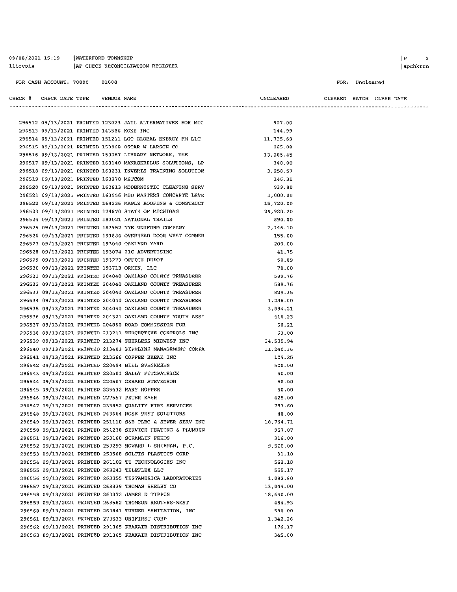09/08/2021 15:19 | WATERFORD TOWNSHIP llievois AP CHECK RECONCILIATION REGISTER

#### FOR CASH ACCOUNT: 70000 01000

| CHECK # CHECK DATE TYPE |                                           | VENDOR NAME |                                                            | UNCLEARED |  | CLEARED BATCH CLEAR DATE |
|-------------------------|-------------------------------------------|-------------|------------------------------------------------------------|-----------|--|--------------------------|
|                         |                                           |             |                                                            |           |  |                          |
|                         |                                           |             | 296512 09/13/2021 PRINTED 123023 JAIL ALTERNATIVES FOR MIC | 907.00    |  |                          |
|                         | 296513 09/13/2021 PRINTED 143586 KONE INC |             |                                                            | 144.99    |  |                          |
|                         |                                           |             | 296514 09/13/2021 PRINTED 151211 LGC GLOBAL ENERGY FM LLC  | 11,725.69 |  |                          |
|                         |                                           |             | 296515 09/13/2021 PRINTED 153068 OSCAR W LARSON CO         | 265.08    |  |                          |
|                         |                                           |             | 296516 09/13/2021 PRINTED 153367 LIBRARY NETWORK, THE      | 13,205.45 |  |                          |
|                         |                                           |             | 296517 09/13/2021 PRINTED 163140 MANAGERPLUS SOLUTIONS, LP | 340.00    |  |                          |
|                         |                                           |             | 296518 09/13/2021 PRINTED 163231 INVERIS TRAINING SOLUTION | 3,258.57  |  |                          |
|                         | 296519 09/13/2021 PRINTED 163270 METCOM   |             |                                                            | 146.31    |  |                          |
|                         |                                           |             | 296520 09/13/2021 PRINTED 163613 MODERNISTIC CLEANING SERV | 939.80    |  |                          |
|                         |                                           |             | 296521 09/13/2021 PRINTED 163956 MUD MASTERS CONCRETE LEVE | 1,000.00  |  |                          |
|                         |                                           |             | 296522 09/13/2021 PRINTED 164236 MAPLE ROOFING & CONSTRUCT | 15,720.00 |  |                          |

|                                             |  | 296517 09/13/2021 PRINTED 163140 MANAGERPLUS SOLUTIONS, LP | 340.00    |
|---------------------------------------------|--|------------------------------------------------------------|-----------|
|                                             |  | 296518 09/13/2021 PRINTED 163231 INVERIS TRAINING SOLUTION | 3,258.57  |
| 296519 09/13/2021 PRINTED 163270 METCOM     |  |                                                            | 146.31    |
|                                             |  | 296520 09/13/2021 PRINTED 163613 MODERNISTIC CLEANING SERV | 939.80    |
|                                             |  | 296521 09/13/2021 PRINTED 163956 MUD MASTERS CONCRETE LEVE | 1,000.00  |
|                                             |  | 296522 09/13/2021 PRINTED 164236 MAPLE ROOFING & CONSTRUCT | 15,720.00 |
|                                             |  | 296523 09/13/2021 PRINTED 174870 STATE OF MICHIGAN         | 29,920.20 |
|                                             |  | 296524 09/13/2021 PRINTED 183021 NATIONAL TRAILS           | 890.00    |
|                                             |  | 296525 09/13/2021 PRINTED 183952 NYE UNIFORM COMPANY       | 2,146.10  |
|                                             |  | 296526 09/13/2021 PRINTED 191884 OVERHEAD DOOR WEST COMMER | 155.00    |
|                                             |  | 296527 09/13/2021 PRINTED 193040 OAKLAND YARD              | 200.00    |
|                                             |  | 296528 09/13/2021 PRINTED 193074 21C ADVERTISING           | 41.75     |
|                                             |  | 296529 09/13/2021 PRINTED 193273 OFFICE DEPOT              | 50.89     |
| 296530 09/13/2021 PRINTED 193713 ORKIN, LLC |  |                                                            | 70.00     |
|                                             |  | 296531 09/13/2021 PRINTED 204040 OAKLAND COUNTY TREASURER  | 589.76    |
|                                             |  | 296532 09/13/2021 PRINTED 204040 OAKLAND COUNTY TREASURER  | 589.76    |
|                                             |  | 296533 09/13/2021 PRINTED 204040 OAKLAND COUNTY TREASURER  | 829.35    |
|                                             |  | 296534 09/13/2021 PRINTED 204040 OAKLAND COUNTY TREASURER  | 1,236.00  |
|                                             |  | 296535 09/13/2021 PRINTED 204040 OAKLAND COUNTY TREASURER  | 3,884.21  |
|                                             |  | 296536 09/13/2021 PRINTED 204321 OAKLAND COUNTY YOUTH ASSI | 416.23    |
|                                             |  | 296537 09/13/2021 PRINTED 204860 ROAD COMMISSION FOR       | 60.21     |
|                                             |  | 296538 09/13/2021 PRINTED 213211 PERCEPTIVE CONTROLS INC   | 63.00     |
|                                             |  | 296539 09/13/2021 PRINTED 213274 PEERLESS MIDWEST INC      | 24,505.94 |
|                                             |  | 296540 09/13/2021 PRINTED 213403 PIPELINE MANAGEMENT COMPA | 11,240.36 |
|                                             |  | 296541 09/13/2021 PRINTED 213566 COFFEE BREAK INC          | 109.25    |
|                                             |  | 296542 09/13/2021 PRINTED 220494 BILL SVENKESEN            | 500.00    |
|                                             |  | 296543 09/13/2021 PRINTED 220501 SALLY FITZPATRICK         | 50.00     |
|                                             |  | 296544 09/13/2021 PRINTED 220507 GERARD STEVENSON          | 50.00     |
|                                             |  | 296545 09/13/2021 PRINTED 225432 MARY HOPPER               | 50.00     |
| 296546 09/13/2021 PRINTED 227557 PETER KAER |  |                                                            | 425.00    |
|                                             |  | 296547 09/13/2021 PRINTED 233852 QUALITY FIRE SERVICES     | 793.60    |
|                                             |  | 296548 09/13/2021 PRINTED 243664 ROSE PEST SOLUTIONS       | 48.00     |
|                                             |  | 296549 09/13/2021 PRINTED 251110 S&B PLBG & SEWER SERV INC | 18,764.71 |
|                                             |  | 296550 09/13/2021 PRINTED 251238 SERVICE HEATING & PLUMBIN | 957.07    |
|                                             |  | 296551 09/13/2021 PRINTED 253160 SCRAMLIN FEEDS            | 316.00    |
|                                             |  | 296552 09/13/2021 PRINTED 253293 HOWARD L SHIFMAN, P.C.    | 9,500.00  |
|                                             |  | 296553 09/13/2021 PRINTED 253568 SOLTIS PLASTICS CORP      | 91.10     |
|                                             |  | 296554 09/13/2021 PRINTED 261102 TT TECHNOLOGIES INC       | 562.18    |
|                                             |  | 296555 09/13/2021 PRINTED 263243 TELEFLEX LLC              | 555.17    |
|                                             |  | 296556 09/13/2021 PRINTED 263255 TESTAMERICA LABORATORIES  | 1,082.80  |
|                                             |  | 296557 09/13/2021 PRINTED 263339 THOMAS SHELBY CO          | 13,044.00 |
|                                             |  | 296558 09/13/2021 PRINTED 263372 JAMES D TIPPIN            | 18,650.00 |
|                                             |  | 296559 09/13/2021 PRINTED 263582 THOMSON REUTERS-WEST      | 454.93    |
|                                             |  | 296560 09/13/2021 PRINTED 263841 TURNER SANITATION, INC    | 580.00    |
|                                             |  | 296561 09/13/2021 PRINTED 273533 UNIFIRST CORP             | 1,342.26  |
|                                             |  | 296562 09/13/2021 PRINTED 291365 PRAXAIR DISTRIBUTION INC  | 176.17    |
|                                             |  | 296563 09/13/2021 PRINTED 291365 PRAXAIR DISTRIBUTION INC  | 345.00    |

#### $|P|$  2  $|apchkren$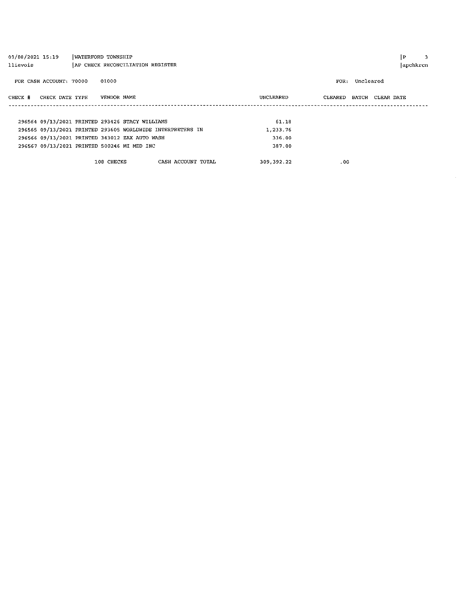| 09/08/2021 15:19           | WATERFORD TOWNSHIP                                         |                    |            |                   | i P        | 3 |
|----------------------------|------------------------------------------------------------|--------------------|------------|-------------------|------------|---|
| llievois                   | AP CHECK RECONCILIATION REGISTER                           |                    |            |                   | apchkrcn   |   |
| FOR CASH ACCOUNT: 70000    | 01000                                                      |                    |            | Uncleared<br>FOR: |            |   |
| CHECK DATE TYPE<br>CHECK # | VENDOR NAME                                                |                    | UNCLEARED  | CLEARED<br>BATCH  | CLEAR DATE |   |
|                            |                                                            |                    |            |                   |            |   |
|                            |                                                            |                    |            |                   |            |   |
|                            | 296564 09/13/2021 PRINTED 293426 STACY WILLIAMS            |                    | 61.18      |                   |            |   |
|                            | 296565 09/13/2021 PRINTED 293605 WORLDWIDE INTERPRETERS IN |                    | 1,233.76   |                   |            |   |
|                            | 296566 09/13/2021 PRINTED 343012 ZAX AUTO WASH             |                    | 336.00     |                   |            |   |
|                            | 296567 09/13/2021 PRINTED 500246 MI MED INC                |                    | 387.00     |                   |            |   |
|                            |                                                            |                    |            |                   |            |   |
|                            | 108 CHECKS                                                 | CASH ACCOUNT TOTAL | 309,392.22 | .00               |            |   |
|                            |                                                            |                    |            |                   |            |   |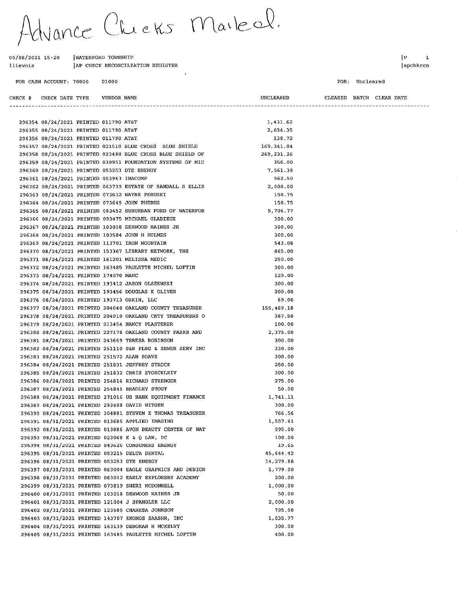Vance Chicks Maileel.

#### 09/08/2021 15:20 WATERFORD TOWNSHIP JAP CHECK RECONCILIATION REGISTER llievois

296369 08/24/2021 PRINTED 113701 IRON MOUNTAIN

296371 08/24/2021 PRINTED 161201 MELISSA MEDIC

296374 08/24/2021 PRINTED 193412 JASON OLSZEWSKI

296376 08/24/2021 PRINTED 193713 ORKIN, LLC

296375 08/24/2021 PRINTED 193456 DOUGLAS K OLIVER

296379 08/24/2021 PRINTED 213454 NANCY PLASTERER

296381 08/24/2021 PRINTED 243669 TERESA ROBINSON

296384 08/24/2021 PRINTED 251831 JEFFREY STROCK

296385 08/24/2021 PRINTED 251832 CHRIS STOECKLEIV

296386 08/24/2021 PRINTED 254816 RICHARD STRENGER

296387 08/24/2021 PRINTED 254845 BRADLEY STOUT

296389 08/24/2021 PRINTED 293408 DAVID WITGEN

296391 08/31/2021 PRINTED 013685 APPLIED IMAGING

296393 08/31/2021 PRINTED 023068 K & O LAW. PC

296395 08/31/2021 PRINTED 053215 DELTA DENTAL

296396 08/31/2021 PRINTED 053253 DTE ENERGY

296394 08/31/2021 PRINTED 043626 CONSUMERS ENERGY

296399 08/31/2021 PRINTED 073819 SHERI MCDONNELL

296401 08/31/2021 PRINTED 121004 J SPANGLER LLC

296402 08/31/2021 PRINTED 123585 CHARESA JOHNSON

296400 08/31/2021 PRINTED 103018 DERWOOD HAINES JR

296403 08/31/2021 PRINTED 143707 KRONOS SAASHR, INC

296404 08/31/2021 PRINTED 163139 DEBORAH H MCKELVY

296405 08/31/2021 PRINTED 163485 PAULETTE MICHEL LOFTIN

296383 08/24/2021 PRINTED 251572 ALAN SOAVE

296373 08/24/2021 PRINTED 174070 MAMC

296370 08/24/2021 PRINTED 153367 LIBRARY NETWORK, THE

296372 08/24/2021 PRINTED 163485 PAULETTE MICHEL LOFTIN

296377 08/24/2021 PRINTED 204040 OAKLAND COUNTY TREASURER

296378 08/24/2021 PRINTED 204910 OAKLAND CNTY TREASURERS O

296380 08/24/2021 PRINTED 227178 OAKLAND COUNTY PARKS AND

296382 08/24/2021 PRINTED 251110 S&B PLBG & SEWER SERV INC

296388 08/24/2021 PRINTED 271016 US BANK EQUIPMENT FINANCE

296390 08/24/2021 PRINTED 304881 STEVEN K THOMAS TREASURER

296392 08/31/2021 PRINTED 013886 AVON BEAUTY CENTER OF WAT

296397 08/31/2021 PRINTED 063004 EAGLE GRAPHICS AND DESIGN

296398 08/31/2021 PRINTED 063012 EARLY EXPLORERS ACADEMY

#### FOR CASH ACCOUNT: 70000 01000

 $1<sub>p</sub>$  $\mathbf{1}$ apchkrcn

#### $FOR:$  Uncleared

CHECK # CHECK DATE TYPE VENDOR NAME **UNCLEARED** CLEARED BATCH CLEAR DATE 296354 08/24/2021 PRINTED 011790 AT&T 1.431.62 296355 08/24/2021 PRINTED 011790 AT&T 2.034.35 296356 08/24/2021 PRINTED 011790 AT&T 138.72 296357 08/24/2021 PRINTED 021510 BLUE CROSS BLUE SHIELD 169, 341.04 296358 08/24/2021 PRINTED 023488 BLUE CROSS BLUE SHIELD OF 269,231.26 296359 08/24/2021 PRINTED 039951 FOUNDATION SYSTEMS OF MIC 356.00 296360 08/24/2021 PRINTED 053253 DTE ENERGY 7.561.38 296361 08/24/2021 PRINTED 053963 INACOMP 562.50 296362 08/24/2021 PRINTED 063739 ESTATE OF RANDALL S ELLIS  $2.000.00$ 296363 08/24/2021 PRINTED 073632 WAYNE PERUSKI 150.75 296364 08/24/2021 PRINTED 073649 JOHN PHEBUS 150.75 296365 08/24/2021 PRINTED 083452 SUBURBAN FORD OF WATERFOR 5,706.77 296366 08/24/2021 PRINTED 093475 MICHAEL GLADIEUX 300.00 296367 08/24/2021 PRINTED 103018 DERWOOD HAINES JR 300.00 296368 08/24/2021 PRINTED 103584 JOHN H HOLMES 300.00

543.08

865.00

250.00

300.00

129.00

300.00

200.00

387.50

100.00

300.00

วิวิก กิก

 $300.00$ 

250.00

 $300.00$ 

275.00

 $50.00$ 

1.741.11

300.00

766.56

995.00

 $100.00$ 

19.65

45,644.42

14,279.88

1,779.00

1,000.00

 $2.000.00$ 

1,035.77

725.00

300.00

400.00

200.00

50.00

1.557.61

2,375.00

155,469.18

69.00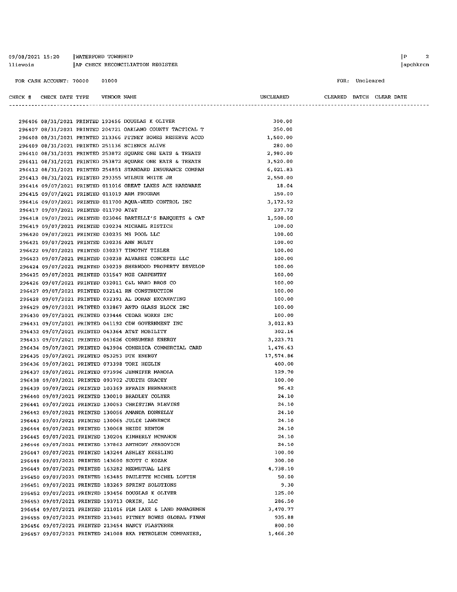09/08/2021 15:20 | WATERFORD TOWNSHIP AP CHECK RECONCILIATION REGISTER llievois

FOR: Uncleared

CLEARED BATCH CLEAR DATE

| CHECK # | CHECK DATE TYPE |  | VENDOR NAME |  |
|---------|-----------------|--|-------------|--|

#### UNCLEARED

|  |                                            |  | 296406 08/31/2021 PRINTED 193456 DOUGLAS K OLIVER          | 300.00    |  |
|--|--------------------------------------------|--|------------------------------------------------------------|-----------|--|
|  |                                            |  | 296407 08/31/2021 PRINTED 204721 OAKLAND COUNTY TACTICAL T | 250.00    |  |
|  |                                            |  | 296408 08/31/2021 PRINTED 213366 PITNEY BOWES RESERVE ACCO | 1,500.00  |  |
|  |                                            |  | 296409 08/31/2021 PRINTED 251136 SCIENCE ALIVE             | 280.00    |  |
|  |                                            |  | 296410 08/31/2021 PRINTED 253872 SQUARE ONE EATS & TREATS  | 2,980.00  |  |
|  |                                            |  | 296411 08/31/2021 PRINTED 253872 SQUARE ONE EATS & TREATS  | 3,520.00  |  |
|  |                                            |  | 296412 08/31/2021 PRINTED 254851 STANDARD INSURANCE COMPAN | 6,021.83  |  |
|  |                                            |  | 296413 08/31/2021 PRINTED 293355 WILBUR WHITE JR           | 2,550.00  |  |
|  |                                            |  | 296414 09/07/2021 PRINTED 011016 GREAT LAKES ACE HARDWARE  | 18.04     |  |
|  |                                            |  | 296415 09/07/2021 PRINTED 011019 ARM PROGRAM               | 150.00    |  |
|  |                                            |  | 296416 09/07/2021 PRINTED 011700 AQUA-WEED CONTROL INC     | 3,172.92  |  |
|  | 296417 09/07/2021 PRINTED 011790 AT&T      |  |                                                            | 237.72    |  |
|  |                                            |  | 296418 09/07/2021 PRINTED 023046 BARTELLI'S BANQUETS & CAT | 1,500.00  |  |
|  |                                            |  | 296419 09/07/2021 PRINTED 030234 MICHAEL RISTICH           | 100.00    |  |
|  |                                            |  | 296420 09/07/2021 PRINTED 030235 MS POOL LLC               | 100.00    |  |
|  | 296421 09/07/2021 PRINTED 030236 ANN NULTY |  |                                                            | 100.00    |  |
|  |                                            |  | 296422 09/07/2021 PRINTED 030237 TIMOTHY TISLER            | 100.00    |  |
|  |                                            |  | 296423 09/07/2021 PRINTED 030238 ALVAREZ CONCEPTS LLC      | 100.00    |  |
|  |                                            |  | 296424 09/07/2021 PRINTED 030239 SHERWOOD PROPERTY DEVELOP | 100.00    |  |
|  |                                            |  | 296425 09/07/2021 PRINTED 031547 MGE CARPENTRY             | 100.00    |  |
|  |                                            |  | 296426 09/07/2021 PRINTED 032011 C&L WARD BROS CO          | 100.00    |  |
|  |                                            |  | 296427 09/07/2021 PRINTED 032141 RN CONSTRUCTION           | 100.00    |  |
|  |                                            |  | 296428 09/07/2021 PRINTED 032391 AL DORAN EXCAVATING       | 100.00    |  |
|  |                                            |  | 296429 09/07/2021 PRINTED 032867 ANTO GLASS BLOCK INC      | 100.00    |  |
|  |                                            |  | 296430 09/07/2021 PRINTED 039446 CEDAR WORKS INC           | 100.00    |  |
|  |                                            |  | 296431 09/07/2021 PRINTED 041192 CDW GOVERNMENT INC        | 3,012.83  |  |
|  |                                            |  | 296432 09/07/2021 PRINTED 043364 AT&T MOBILITY             | 302.16    |  |
|  |                                            |  | 296433 09/07/2021 PRINTED 043626 CONSUMERS ENERGY          | 3,223.71  |  |
|  |                                            |  | 296434 09/07/2021 PRINTED 043904 COMERICA COMMERCIAL CARD  | 1,476.63  |  |
|  |                                            |  | 296435 09/07/2021 PRINTED 053253 DTE ENERGY                | 17,574.86 |  |
|  |                                            |  | 296436 09/07/2021 PRINTED 073398 TORI HEGLIN               | 400.00    |  |
|  |                                            |  | 296437 09/07/2021 PRINTED 073996 JENNIFER MAMOLA           | 129.70    |  |
|  |                                            |  | 296438 09/07/2021 PRINTED 093702 JUDITH GRACEY             | 100.00    |  |
|  |                                            |  | 296439 09/07/2021 PRINTED 103369 EFRAIN HERNANDEZ          | 96.42     |  |
|  |                                            |  | 296440 09/07/2021 PRINTED 130010 BRADLEY COLYER            | 24.10     |  |
|  |                                            |  | 296441 09/07/2021 PRINTED 130053 CHRISTINA BLEVINS         | 24.10     |  |
|  |                                            |  | 296442 09/07/2021 PRINTED 130056 AMANDA DONNELLY           | 24.10     |  |
|  |                                            |  | 296443 09/07/2021 PRINTED 130065 JULIE LAWRENCE            | 24.10     |  |
|  |                                            |  | 296444 09/07/2021 PRINTED 130068 HEIDI RENTON              | 24.10     |  |
|  |                                            |  | 296445 09/07/2021 PRINTED 130204 KIMBERLY MCMAHON          | 24.10     |  |
|  |                                            |  | 296446 09/07/2021 PRINTED 137862 ANTHONY JERGOVICH         | 24,10     |  |
|  |                                            |  | 296447 09/07/2021 PRINTED 143244 ASHLEY KEESLING           | 100.00    |  |
|  |                                            |  | 296448 09/07/2021 PRINTED 143600 SCOTT C KOZAK             | 300.00    |  |
|  |                                            |  | 296449 09/07/2021 PRINTED 163282 MEDMUTUAL LIFE            | 4,738.10  |  |
|  |                                            |  | 296450 09/07/2021 PRINTED 163485 PAULETTE MICHEL LOFTIN    | 50.00     |  |
|  |                                            |  | 296451 09/07/2021 PRINTED 183269 SPRINT SOLUTIONS          | 9.30      |  |
|  |                                            |  | 296452 09/07/2021 PRINTED 193456 DOUGLAS K OLIVER          | 125.00    |  |
|  |                                            |  | 296453 09/07/2021 PRINTED 193713 ORKIN, LLC                | 286.50    |  |
|  |                                            |  | 296454 09/07/2021 PRINTED 211016 PLM LAKE & LAND MANAGEMEN | 3,470.77  |  |
|  |                                            |  | 296455 09/07/2021 PRINTED 213401 PITNEY BOWES GLOBAL FINAN | 935.88    |  |
|  |                                            |  | 296456 09/07/2021 PRINTED 213454 NANCY PLASTERER           | 800.00    |  |
|  |                                            |  | 296457 09/07/2021 PRINTED 241008 RKA PETROLEUM COMPANIES,  | 1,466.20  |  |
|  |                                            |  |                                                            |           |  |